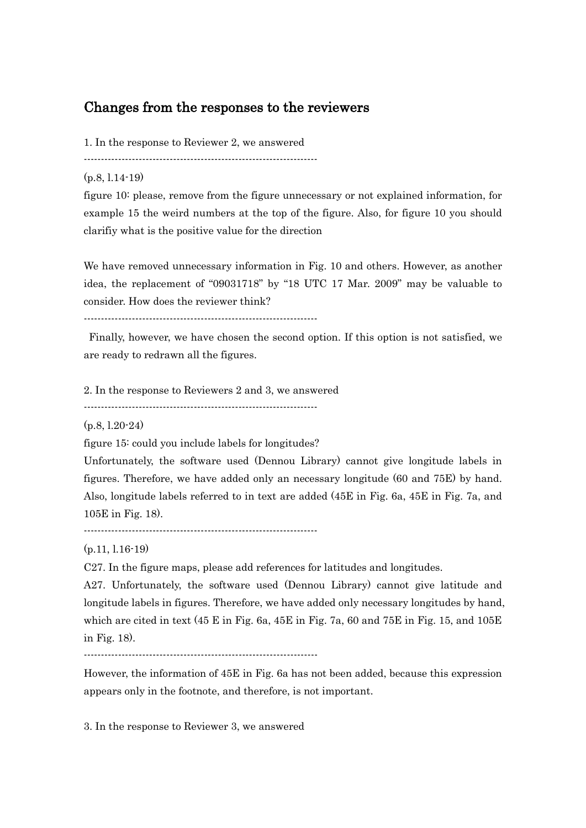## Changes from the responses to the reviewers

1. In the response to Reviewer 2, we answered

--------------------------------------------------------------------

(p.8, l.14-19)

figure 10: please, remove from the figure unnecessary or not explained information, for example 15 the weird numbers at the top of the figure. Also, for figure 10 you should clarifiy what is the positive value for the direction

We have removed unnecessary information in Fig. 10 and others. However, as another idea, the replacement of "09031718" by "18 UTC 17 Mar. 2009" may be valuable to consider. How does the reviewer think?

--------------------------------------------------------------------

Finally, however, we have chosen the second option. If this option is not satisfied, we are ready to redrawn all the figures.

2. In the response to Reviewers 2 and 3, we answered

--------------------------------------------------------------------

(p.8, l.20-24)

figure 15: could you include labels for longitudes?

Unfortunately, the software used (Dennou Library) cannot give longitude labels in figures. Therefore, we have added only an necessary longitude (60 and 75E) by hand. Also, longitude labels referred to in text are added (45E in Fig. 6a, 45E in Fig. 7a, and 105E in Fig. 18).

--------------------------------------------------------------------

(p.11, l.16-19)

C27. In the figure maps, please add references for latitudes and longitudes.

A27. Unfortunately, the software used (Dennou Library) cannot give latitude and longitude labels in figures. Therefore, we have added only necessary longitudes by hand, which are cited in text (45 E in Fig. 6a, 45E in Fig. 7a, 60 and 75E in Fig. 15, and  $105E$ in Fig. 18).

--------------------------------------------------------------------

However, the information of 45E in Fig. 6a has not been added, because this expression appears only in the footnote, and therefore, is not important.

3. In the response to Reviewer 3, we answered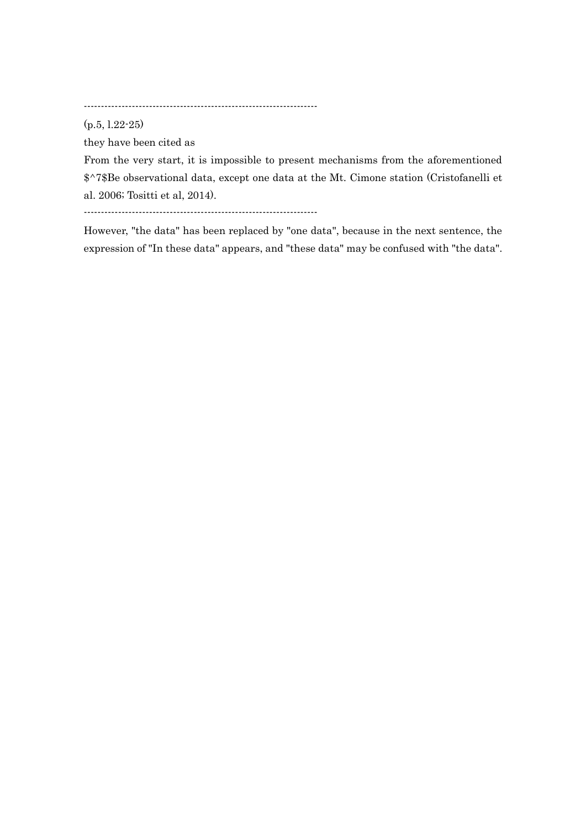--------------------------------------------------------------------

(p.5, l.22-25)

they have been cited as

From the very start, it is impossible to present mechanisms from the aforementioned \$^7\$Be observational data, except one data at the Mt. Cimone station (Cristofanelli et al. 2006; Tositti et al, 2014).

--------------------------------------------------------------------

However, "the data" has been replaced by "one data", because in the next sentence, the expression of "In these data" appears, and "these data" may be confused with "the data".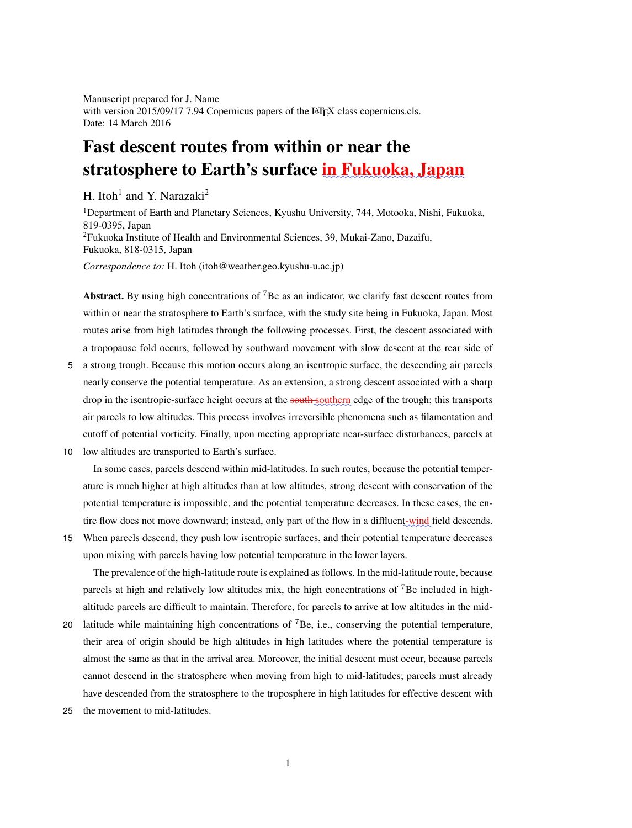Manuscript prepared for J. Name with version 2015/09/17 7.94 Copernicus papers of the LATEX class copernicus.cls. Date: 14 March 2016

# Fast descent routes from within or near the stratosphere to Earth's surface in Fukuoka, Japan

H. Itoh<sup>1</sup> and Y. Narazaki<sup>2</sup>

<sup>1</sup>Department of Earth and Planetary Sciences, Kyushu University, 744, Motooka, Nishi, Fukuoka, 819-0395, Japan <sup>2</sup>Fukuoka Institute of Health and Environmental Sciences, 39, Mukai-Zano, Dazaifu, Fukuoka, 818-0315, Japan

*Correspondence to:* H. Itoh (itoh@weather.geo.kyushu-u.ac.jp)

Abstract. By using high concentrations of  ${}^{7}$ Be as an indicator, we clarify fast descent routes from within or near the stratosphere to Earth's surface, with the study site being in Fukuoka, Japan. Most routes arise from high latitudes through the following processes. First, the descent associated with a tropopause fold occurs, followed by southward movement with slow descent at the rear side of

- 5 a strong trough. Because this motion occurs along an isentropic surface, the descending air parcels nearly conserve the potential temperature. As an extension, a strong descent associated with a sharp drop in the isentropic-surface height occurs at the **south** southern edge of the trough; this transports air parcels to low altitudes. This process involves irreversible phenomena such as filamentation and cutoff of potential vorticity. Finally, upon meeting appropriate near-surface disturbances, parcels at
- 10 low altitudes are transported to Earth's surface.

In some cases, parcels descend within mid-latitudes. In such routes, because the potential temperature is much higher at high altitudes than at low altitudes, strong descent with conservation of the potential temperature is impossible, and the potential temperature decreases. In these cases, the entire flow does not move downward; instead, only part of the flow in a diffluent-wind field descends.

15 When parcels descend, they push low isentropic surfaces, and their potential temperature decreases upon mixing with parcels having low potential temperature in the lower layers.

The prevalence of the high-latitude route is explained as follows. In the mid-latitude route, because parcels at high and relatively low altitudes mix, the high concentrations of <sup>7</sup>Be included in highaltitude parcels are difficult to maintain. Therefore, for parcels to arrive at low altitudes in the mid-

- 20 latitude while maintaining high concentrations of  ${}^{7}Be$ , i.e., conserving the potential temperature, their area of origin should be high altitudes in high latitudes where the potential temperature is almost the same as that in the arrival area. Moreover, the initial descent must occur, because parcels cannot descend in the stratosphere when moving from high to mid-latitudes; parcels must already have descended from the stratosphere to the troposphere in high latitudes for effective descent with
- 25 the movement to mid-latitudes.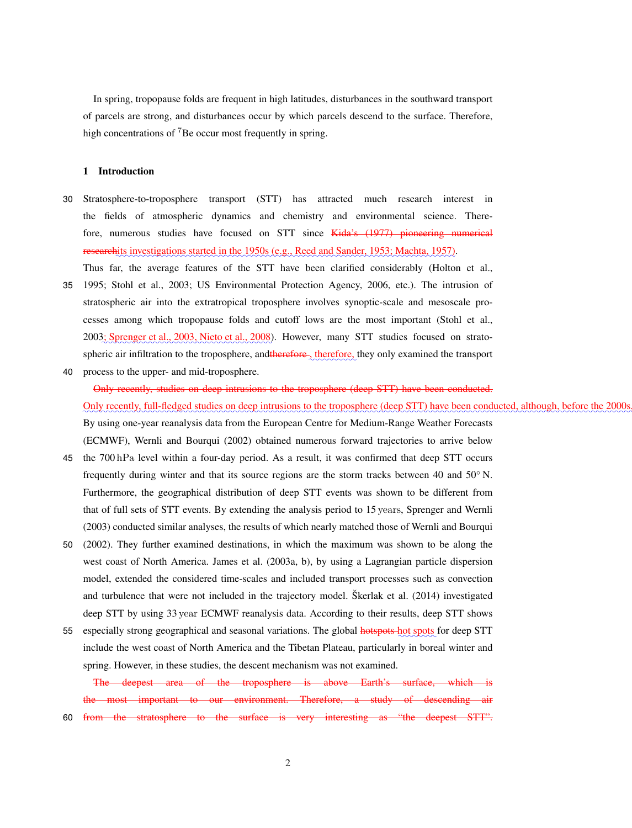In spring, tropopause folds are frequent in high latitudes, disturbances in the southward transport of parcels are strong, and disturbances occur by which parcels descend to the surface. Therefore, high concentrations of <sup>7</sup>Be occur most frequently in spring.

### 1 Introduction

30 Stratosphere-to-troposphere transport (STT) has attracted much research interest in the fields of atmospheric dynamics and chemistry and environmental science. Therefore, numerous studies have focused on STT since Kida's (1977) pioneering numerical researchits investigations started in the 1950s (e.g., Reed and Sander, 1953; Machta, 1957).

Thus far, the average features of the STT have been clarified considerably (Holton et al.,

- 35 1995; Stohl et al., 2003; US Environmental Protection Agency, 2006, etc.). The intrusion of stratospheric air into the extratropical troposphere involves synoptic-scale and mesoscale processes among which tropopause folds and cutoff lows are the most important (Stohl et al., 2003; Sprenger et al., 2003, Nieto et al., 2008). However, many STT studies focused on stratospheric air infiltration to the troposphere, and therefore, therefore, they only examined the transport
- 40 process to the upper- and mid-troposphere.

# Only recently, studies on deep intrusions to the troposphere (deep STT) have been conducted. Only recently, full-fledged studies on deep intrusions to the troposphere (deep STT) have been conducted, although, before the 200 By using one-year reanalysis data from the European Centre for Medium-Range Weather Forecasts (ECMWF), Wernli and Bourqui (2002) obtained numerous forward trajectories to arrive below

- 45 the 700 hPa level within a four-day period. As a result, it was confirmed that deep STT occurs frequently during winter and that its source regions are the storm tracks between 40 and 50<sup>°</sup> N. Furthermore, the geographical distribution of deep STT events was shown to be different from that of full sets of STT events. By extending the analysis period to 15 years, Sprenger and Wernli (2003) conducted similar analyses, the results of which nearly matched those of Wernli and Bourqui
- 50 (2002). They further examined destinations, in which the maximum was shown to be along the west coast of North America. James et al. (2003a, b), by using a Lagrangian particle dispersion model, extended the considered time-scales and included transport processes such as convection and turbulence that were not included in the trajectory model. Škerlak et al. (2014) investigated deep STT by using 33 year ECMWF reanalysis data. According to their results, deep STT shows
- 55 especially strong geographical and seasonal variations. The global hotspots hot spots for deep STT include the west coast of North America and the Tibetan Plateau, particularly in boreal winter and spring. However, in these studies, the descent mechanism was not examined.

The deepest area of the troposphere is above Earth's surface, which the most important to our environment. Therefore, a study of descending air

60 from the stratosphere to the surface is very interesting as "the deepest STT".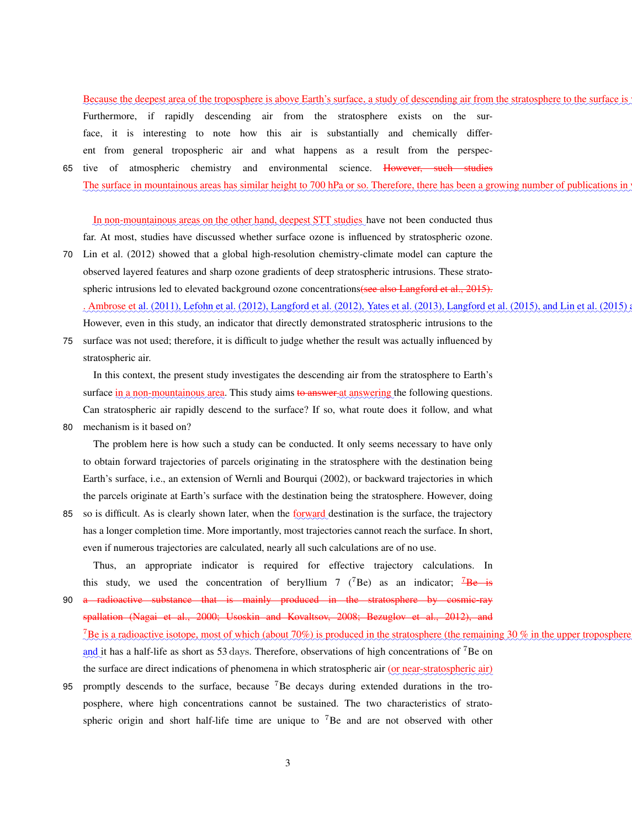Because the deepest area of the troposphere is above Earth's surface, a study of descending air from the stratosphere to the surface is Furthermore, if rapidly descending air from the stratosphere exists on the surface, it is interesting to note how this air is substantially and chemically different from general tropospheric air and what happens as a result from the perspec-65 tive of atmospheric chemistry and environmental science. However, such studies

maanaan maanaan maanaan maanaan maanaan maanaan maanaan maanaan maanaan maanaan maanaan m The surface in mountainous areas has similar height to 700 hPa or so. Therefore, there has been a growing number of publications in

In non-mountainous areas on the other hand, deepest STT studies have not been conducted thus far. At most, studies have discussed whether surface ozone is influenced by stratospheric ozone.

- 70 Lin et al. (2012) showed that a global high-resolution chemistry-climate model can capture the observed layered features and sharp ozone gradients of deep stratospheric intrusions. These stratospheric intrusions led to elevated background ozone concentrations(see also Langford et al., 2015). . Ambrose et al. (2011), Lefohn et al. (2012), Langford et al. (2012), Yates et al. (2013), Langford et al. (2015), and Lin et al. (2015 However, even in this study, an indicator that directly demonstrated stratospheric intrusions to the
- 75 surface was not used; therefore, it is difficult to judge whether the result was actually influenced by stratospheric air.

In this context, the present study investigates the descending air from the stratosphere to Earth's surface in a non-mountainous area. This study aims <del>to answer a</del>t answering the following questions. Can stratospheric air rapidly descend to the surface? If so, what route does it follow, and what

80 mechanism is it based on?

The problem here is how such a study can be conducted. It only seems necessary to have only to obtain forward trajectories of parcels originating in the stratosphere with the destination being Earth's surface, i.e., an extension of Wernli and Bourqui (2002), or backward trajectories in which the parcels originate at Earth's surface with the destination being the stratosphere. However, doing

85 so is difficult. As is clearly shown later, when the forward destination is the surface, the trajectory has a longer completion time. More importantly, most trajectories cannot reach the surface. In short, even if numerous trajectories are calculated, nearly all such calculations are of no use.

Thus, an appropriate indicator is required for effective trajectory calculations. In this study, we used the concentration of beryllium 7 ( $^7$ Be) as an indicator;  $^7$ Be is

- 90 a radioactive substance that is mainly produced in the stratosphere by cosmic-ray spallation (Nagai et al., 2000; Usoskin and Kovaltsov, 2008; Bezuglov et al., 2012), and <sup>7</sup>Be is a radioactive isotope, most of which (about 70%) is produced in the stratosphere (the remaining 30 % in the upper troposphe and it has a half-life as short as 53 days. Therefore, observations of high concentrations of <sup>7</sup>Be on the surface are direct indications of phenomena in which stratospheric air (or near-stratospheric air)
- 95 promptly descends to the surface, because <sup>7</sup>Be decays during extended durations in the troposphere, where high concentrations cannot be sustained. The two characteristics of stratospheric origin and short half-life time are unique to <sup>7</sup>Be and are not observed with other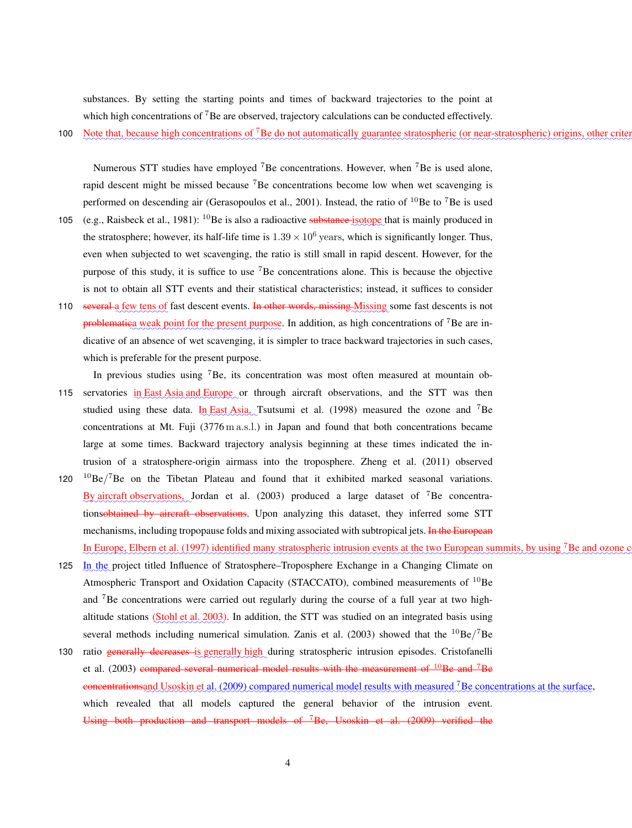substances. By setting the starting points and times of backward trajectories to the point at which high concentrations of <sup>7</sup>Be are observed, trajectory calculations can be conducted effectively.

100 Note that, because high concentrations of <sup>7</sup>Be do not automatically guarantee stratospheric (or near-stratospheric) origins, other crit

Numerous STT studies have employed  ${}^{7}$ Be concentrations. However, when  ${}^{7}$ Be is used alone, rapid descent might be missed because <sup>7</sup>Be concentrations become low when wet scavenging is performed on descending air (Gerasopoulos et al., 2001). Instead, the ratio of  $^{10}$ Be to  $^{7}$ Be is used

- 105 (e.g., Raisbeck et al., 1981): <sup>10</sup>Be is also a radioactive substance isotope that is mainly produced in the stratosphere; however, its half-life time is  $1.39 \times 10^6$  years, which is significantly longer. Thus, even when subjected to wet scavenging, the ratio is still small in rapid descent. However, for the purpose of this study, it is suffice to use <sup>7</sup>Be concentrations alone. This is because the objective is not to obtain all STT events and their statistical characteristics; instead, it suffices to consider
- 110 several a few tens of fast descent events. In other words, missing Missing some fast descents is not problematiea weak point for the present purpose. In addition, as high concentrations of <sup>7</sup>Be are indicative of an absence of wet scavenging, it is simpler to trace backward trajectories in such cases, which is preferable for the present purpose.

In previous studies using <sup>7</sup>Be, its concentration was most often measured at mountain ob-

- 115 servatories in East Asia and Europe or through aircraft observations, and the STT was then studied using these data. In East Asia, Tsutsumi et al. (1998) measured the ozone and <sup>7</sup>Be concentrations at Mt. Fuji (3776 m a.s.l.) in Japan and found that both concentrations became large at some times. Backward trajectory analysis beginning at these times indicated the intrusion of a stratosphere-origin airmass into the troposphere. Zheng et al. (2011) observed
- 120  $^{10}$ Be/<sup>7</sup>Be on the Tibetan Plateau and found that it exhibited marked seasonal variations. By aircraft observations, Jordan et al. (2003) produced a large dataset of <sup>7</sup>Be concentrationsobtained by aircraft observations. Upon analyzing this dataset, they inferred some STT mechanisms, including tropopause folds and mixing associated with subtropical jets. In the European In Europe, Elbern et al. (1997) identified many stratospheric intrusion events at the two European summits, by using <sup>7</sup>Be and ozone
- 125 In the project titled Influence of Stratosphere–Troposphere Exchange in a Changing Climate on Atmospheric Transport and Oxidation Capacity (STACCATO), combined measurements of  $^{10}$ Be and <sup>7</sup>Be concentrations were carried out regularly during the course of a full year at two highaltitude stations (Stohl et al. 2003). In addition, the STT was studied on an integrated basis using several methods including numerical simulation. Zanis et al. (2003) showed that the  ${}^{10}$ Be/<sup>7</sup>Be
- 130 ratio generally decreases is generally high during stratospheric intrusion episodes. Cristofanelli et al.  $(2003)$  compared several numerical model results with the measurement of  $^{10}$ Be and <sup>7</sup>Be concentrations and Usoskin et al. (2009) compared numerical model results with measured <sup>7</sup>Be concentrations at the surface, which revealed that all models captured the general behavior of the intrusion event. Using both production and transport models of <sup>7</sup>Be, Usoskin et al. (2009) verified the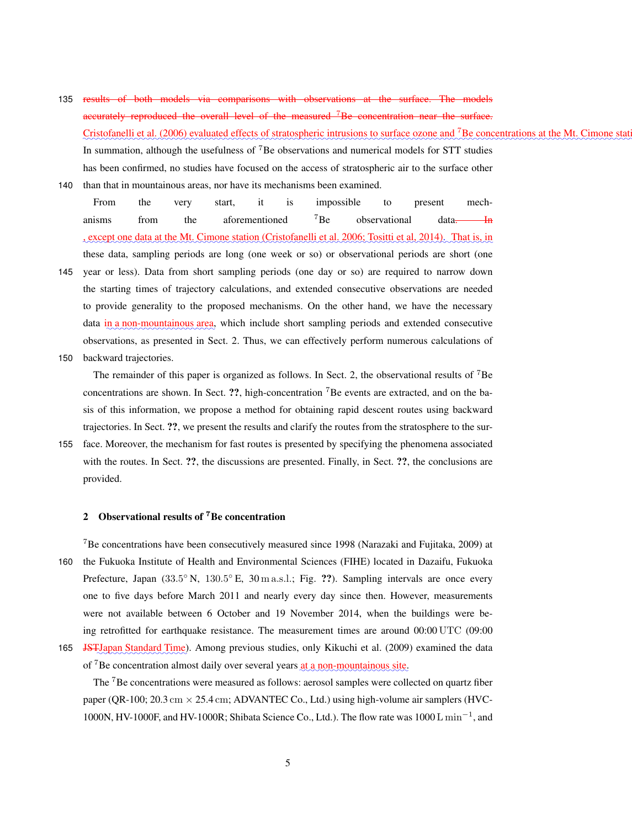- 135 results of both models via comparisons with observations at the surface. The models accurately reproduced the overall level of the measured <sup>7</sup>Be concentration near the surface. Cristofanelli et al. (2006) evaluated effects of stratospheric intrusions to surface ozone and <sup>7</sup>Be concentrations at the Mt. Cimone st In summation, although the usefulness of <sup>7</sup>Be observations and numerical models for STT studies has been confirmed, no studies have focused on the access of stratospheric air to the surface other
- 140 than that in mountainous areas, nor have its mechanisms been examined.
	- From the very start, it is impossible to present mechanisms from the aforementioned  ${}^{7}Be$  observational data. In , except one data at the Mt. Cimone station (Cristofanelli et al. 2006; Tositti et al. 2014). That is, in these data, sampling periods are long (one week or so) or observational periods are short (one
- 145 year or less). Data from short sampling periods (one day or so) are required to narrow down the starting times of trajectory calculations, and extended consecutive observations are needed to provide generality to the proposed mechanisms. On the other hand, we have the necessary data in a non-mountainous area, which include short sampling periods and extended consecutive observations, as presented in Sect. 2. Thus, we can effectively perform numerous calculations of 150 backward trajectories.

The remainder of this paper is organized as follows. In Sect. 2, the observational results of <sup>7</sup>Be concentrations are shown. In Sect. ??, high-concentration <sup>7</sup>Be events are extracted, and on the basis of this information, we propose a method for obtaining rapid descent routes using backward trajectories. In Sect. ??, we present the results and clarify the routes from the stratosphere to the sur-

155 face. Moreover, the mechanism for fast routes is presented by specifying the phenomena associated with the routes. In Sect. ??, the discussions are presented. Finally, in Sect. ??, the conclusions are provided.

### 2 Observational results of <sup>7</sup>Be concentration

<sup>7</sup>Be concentrations have been consecutively measured since 1998 (Narazaki and Fujitaka, 2009) at 160 the Fukuoka Institute of Health and Environmental Sciences (FIHE) located in Dazaifu, Fukuoka Prefecture, Japan (33.5° N, 130.5° E, 30 m a.s.l.; Fig. ??). Sampling intervals are once every one to five days before March 2011 and nearly every day since then. However, measurements were not available between 6 October and 19 November 2014, when the buildings were being retrofitted for earthquake resistance. The measurement times are around 00:00 UTC (09:00 165 JST Uapan Standard Time). Among previous studies, only Kikuchi et al. (2009) examined the data

of <sup>7</sup>Be concentration almost daily over several years at a non-mountainous site.

The <sup>7</sup>Be concentrations were measured as follows: aerosol samples were collected on quartz fiber paper (QR-100; 20.3 cm  $\times$  25.4 cm; ADVANTEC Co., Ltd.) using high-volume air samplers (HVC-1000N, HV-1000F, and HV-1000R; Shibata Science Co., Ltd.). The flow rate was 1000 L min<sup>−</sup><sup>1</sup> , and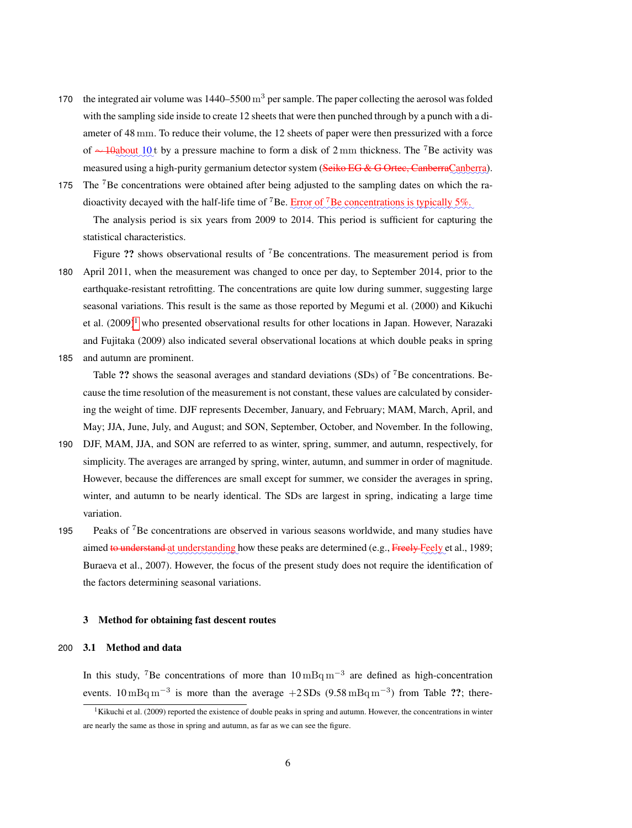- 170 the integrated air volume was  $1440-5500 \,\mathrm{m}^3$  per sample. The paper collecting the aerosol was folded with the sampling side inside to create 12 sheets that were then punched through by a punch with a diameter of 48 mm. To reduce their volume, the 12 sheets of paper were then pressurized with a force of ∼ 10about 10 t by a pressure machine to form a disk of 2 mm thickness. The <sup>7</sup>Be activity was measured using a high-purity germanium detector system (<del>Seiko EG & G Ortec, Canberra</del>Canberra).
- 175 The <sup>7</sup>Be concentrations were obtained after being adjusted to the sampling dates on which the radioactivity decayed with the half-life time of <sup>7</sup>Be.  $\frac{Error\ of\ ^{7}Be\ concentration\ is\ typically\ 5\%.}$

The analysis period is six years from 2009 to 2014. This period is sufficient for capturing the statistical characteristics.

Figure ?? shows observational results of <sup>7</sup>Be concentrations. The measurement period is from 180 April 2011, when the measurement was changed to once per day, to September 2014, prior to the earthquake-resistant retrofitting. The concentrations are quite low during summer, suggesting large seasonal variations. This result is the same as those reported by Megumi et al. (2000) and Kikuchi et al.  $(2009)^1$  who presented observational results for other locations in Japan. However, Narazaki and Fujitaka (2009) also indicated several observational locations at which double peaks in spring 185 and autumn are prominent.

Table ?? shows the seasonal averages and standard deviations (SDs) of <sup>7</sup>Be concentrations. Because the time resolution of the measurement is not constant, these values are calculated by considering the weight of time. DJF represents December, January, and February; MAM, March, April, and May; JJA, June, July, and August; and SON, September, October, and November. In the following,

- 190 DJF, MAM, JJA, and SON are referred to as winter, spring, summer, and autumn, respectively, for simplicity. The averages are arranged by spring, winter, autumn, and summer in order of magnitude. However, because the differences are small except for summer, we consider the averages in spring, winter, and autumn to be nearly identical. The SDs are largest in spring, indicating a large time variation.
- 195 Peaks of <sup>7</sup>Be concentrations are observed in various seasons worldwide, and many studies have aimed <del>to understand</del> at understanding how these peaks are determined (e.g., Freely Feely et al., 1989; Buraeva et al., 2007). However, the focus of the present study does not require the identification of the factors determining seasonal variations.

### 3 Method for obtaining fast descent routes

### 200 3.1 Method and data

In this study, <sup>7</sup>Be concentrations of more than  $10 \text{ mBq m}^{-3}$  are defined as high-concentration events.  $10 \text{ mBq m}^{-3}$  is more than the average  $+2 \text{ SDs } (9.58 \text{ mBq m}^{-3})$  from Table ??; there-

<sup>&</sup>lt;sup>1</sup>Kikuchi et al. (2009) reported the existence of double peaks in spring and autumn. However, the concentrations in winter are nearly the same as those in spring and autumn, as far as we can see the figure.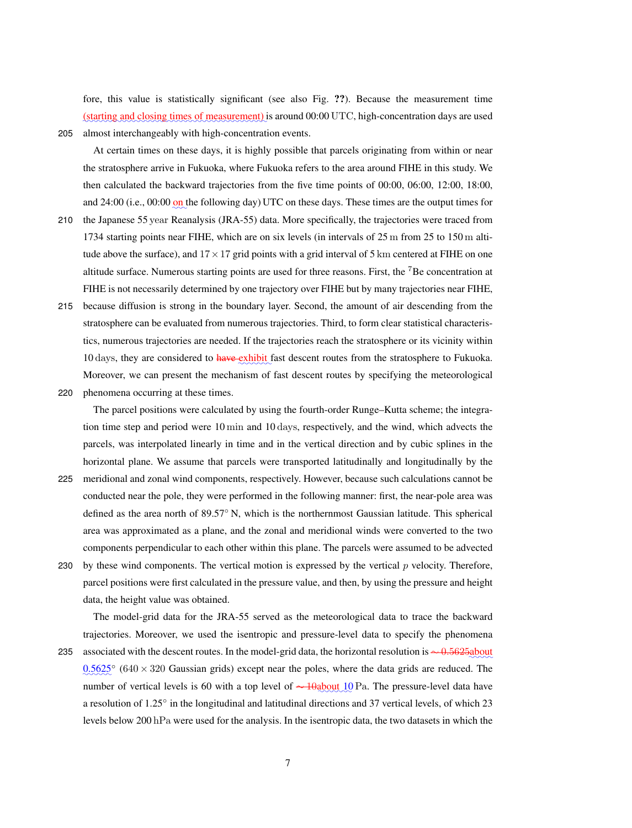fore, this value is statistically significant (see also Fig. ??). Because the measurement time (starting and closing times of measurement) is around 00:00 UTC, high-concentration days are used

205 almost interchangeably with high-concentration events.

At certain times on these days, it is highly possible that parcels originating from within or near the stratosphere arrive in Fukuoka, where Fukuoka refers to the area around FIHE in this study. We then calculated the backward trajectories from the five time points of 00:00, 06:00, 12:00, 18:00, and 24:00 (i.e.,  $00:00$  on the following day) UTC on these days. These times are the output times for

- 210 the Japanese 55 year Reanalysis (JRA-55) data. More specifically, the trajectories were traced from 1734 starting points near FIHE, which are on six levels (in intervals of 25 m from 25 to 150 m altitude above the surface), and  $17 \times 17$  grid points with a grid interval of 5 km centered at FIHE on one altitude surface. Numerous starting points are used for three reasons. First, the  ${}^{7}$ Be concentration at FIHE is not necessarily determined by one trajectory over FIHE but by many trajectories near FIHE,
- 215 because diffusion is strong in the boundary layer. Second, the amount of air descending from the stratosphere can be evaluated from numerous trajectories. Third, to form clear statistical characteristics, numerous trajectories are needed. If the trajectories reach the stratosphere or its vicinity within 10 days, they are considered to have exhibit fast descent routes from the stratosphere to Fukuoka. Moreover, we can present the mechanism of fast descent routes by specifying the meteorological
- 220 phenomena occurring at these times.

The parcel positions were calculated by using the fourth-order Runge–Kutta scheme; the integration time step and period were 10 min and 10 days, respectively, and the wind, which advects the parcels, was interpolated linearly in time and in the vertical direction and by cubic splines in the horizontal plane. We assume that parcels were transported latitudinally and longitudinally by the

- 225 meridional and zonal wind components, respectively. However, because such calculations cannot be conducted near the pole, they were performed in the following manner: first, the near-pole area was defined as the area north of 89.57◦ N, which is the northernmost Gaussian latitude. This spherical area was approximated as a plane, and the zonal and meridional winds were converted to the two components perpendicular to each other within this plane. The parcels were assumed to be advected
- 230 by these wind components. The vertical motion is expressed by the vertical  $p$  velocity. Therefore, parcel positions were first calculated in the pressure value, and then, by using the pressure and height data, the height value was obtained.

The model-grid data for the JRA-55 served as the meteorological data to trace the backward trajectories. Moreover, we used the isentropic and pressure-level data to specify the phenomena

235 associated with the descent routes. In the model-grid data, the horizontal resolution is ∼ 0.5625about  $0.5625^{\circ}$  (640 × 320 Gaussian grids) except near the poles, where the data grids are reduced. The number of vertical levels is 60 with a top level of  $\sim$  10 about 10 Pa. The pressure-level data have a resolution of 1.25° in the longitudinal and latitudinal directions and 37 vertical levels, of which 23 levels below 200 hPa were used for the analysis. In the isentropic data, the two datasets in which the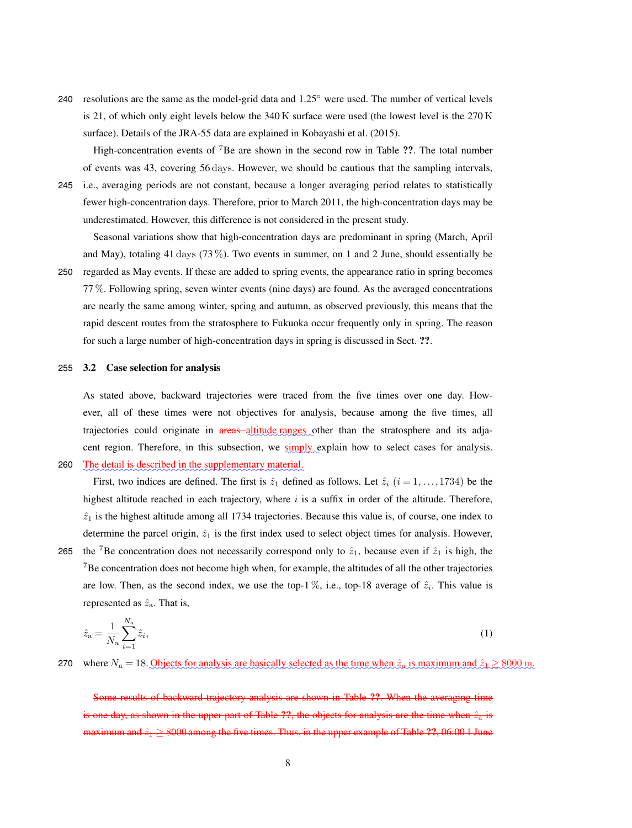240 resolutions are the same as the model-grid data and  $1.25^\circ$  were used. The number of vertical levels is 21, of which only eight levels below the 340 K surface were used (the lowest level is the 270 K surface). Details of the JRA-55 data are explained in Kobayashi et al. (2015).

High-concentration events of <sup>7</sup>Be are shown in the second row in Table ??. The total number of events was 43, covering 56 days. However, we should be cautious that the sampling intervals,

245 i.e., averaging periods are not constant, because a longer averaging period relates to statistically fewer high-concentration days. Therefore, prior to March 2011, the high-concentration days may be underestimated. However, this difference is not considered in the present study.

Seasonal variations show that high-concentration days are predominant in spring (March, April and May), totaling 41 days (73 %). Two events in summer, on 1 and 2 June, should essentially be 250 regarded as May events. If these are added to spring events, the appearance ratio in spring becomes 77 %. Following spring, seven winter events (nine days) are found. As the averaged concentrations are nearly the same among winter, spring and autumn, as observed previously, this means that the rapid descent routes from the stratosphere to Fukuoka occur frequently only in spring. The reason for such a large number of high-concentration days in spring is discussed in Sect. ??.

### 255 3.2 Case selection for analysis

As stated above, backward trajectories were traced from the five times over one day. However, all of these times were not objectives for analysis, because among the five times, all trajectories could originate in areas altitude ranges other than the stratosphere and its adjacent region. Therefore, in this subsection, we simply explain how to select cases for analysis.

✿✿✿✿✿✿✿✿✿✿✿✿✿✿✿✿✿✿✿✿✿✿✿✿✿✿✿✿✿✿✿✿✿✿✿✿✿✿✿✿✿✿✿✿✿✿✿ 260 The detail is described in the supplementary material.

First, two indices are defined. The first is  $\hat{z}_1$  defined as follows. Let  $\hat{z}_i$  ( $i = 1, \ldots, 1734$ ) be the highest altitude reached in each trajectory, where  $i$  is a suffix in order of the altitude. Therefore,  $\hat{z}_1$  is the highest altitude among all 1734 trajectories. Because this value is, of course, one index to determine the parcel origin,  $\hat{z}_1$  is the first index used to select object times for analysis. However,

265 the <sup>7</sup>Be concentration does not necessarily correspond only to  $\hat{z}_1$ , because even if  $\hat{z}_1$  is high, the <sup>7</sup>Be concentration does not become high when, for example, the altitudes of all the other trajectories are low. Then, as the second index, we use the top-1%, i.e., top-18 average of  $\hat{z}_i$ . This value is represented as  $\hat{z}_a$ . That is,

$$
\hat{z}_{\rm a} = \frac{1}{N_{\rm a}} \sum_{i=1}^{N_{\rm a}} \hat{z}_i,\tag{1}
$$

270 where  $N_a = 18$ . Objects for analysis are basically selected as the time when  $\hat{z}_a$  is maximum and  $\hat{z}_1 \ge 8000$  m.

Some results of backward trajectory analysis are shown in Table ??. When the averaging time is one day, as shown in the upper part of Table ??, the objects for analysis are the time when  $\hat{z}_a$  is maximum and  $\hat{z}_1 \ge 8000$  among the five times. Thus, in the upper example of Table ??, 06:00 1 June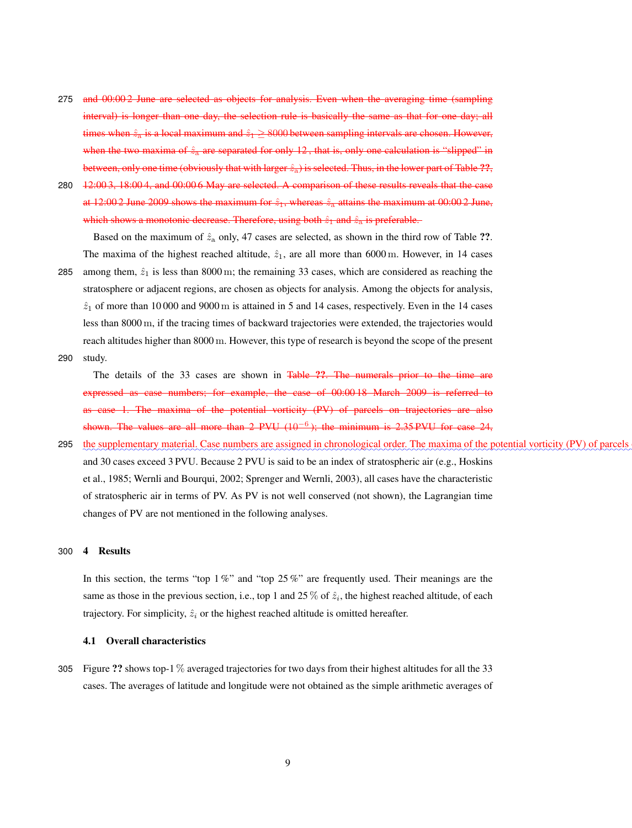- 275 and 00:00 2 June are selected as objects for analysis. Even when the averaging time (sampling interval) is longer than one day, the selection rule is basically the same as that for one day; all times when  $\hat{z}_n$  is a local maximum and  $\hat{z}_1 \ge 8000$  between sampling intervals are chosen. However, when the two maxima of  $\hat{z}_a$  are separated for only 12, that is, only one calculation is "slipped" in between, only one time (obviously that with larger  $\hat{z}_a$ ) is selected. Thus, in the lower part of Table ??,
- 280 12:00 3, 18:00 4, and 00:00 6 May are selected. A comparison of these results reveals that the case at 12:00 2 June 2009 shows the maximum for  $\hat{z}_1$ , whereas  $\hat{z}_2$  attains the maximum at 00:00 2 June, which shows a monotonic decrease. Therefore, using both  $\hat{z}_1$  and  $\hat{z}_3$  is preferable.

Based on the maximum of  $\hat{z}_a$  only, 47 cases are selected, as shown in the third row of Table ??. The maxima of the highest reached altitude,  $\hat{z}_1$ , are all more than 6000 m. However, in 14 cases

- 285 among them,  $\hat{z}_1$  is less than 8000 m; the remaining 33 cases, which are considered as reaching the stratosphere or adjacent regions, are chosen as objects for analysis. Among the objects for analysis,  $\hat{z}_1$  of more than 10 000 and 9000 m is attained in 5 and 14 cases, respectively. Even in the 14 cases less than 8000 m, if the tracing times of backward trajectories were extended, the trajectories would reach altitudes higher than 8000 m. However, this type of research is beyond the scope of the present 290 study.
- 

The details of the 33 cases are shown in Table ??. The numerals prior to the time are expressed as case numbers; for example, the case of 00:00 18 March 2009 is referred to as case 1. The maxima of the potential vorticity (PV) of parcels on trajectories are also shown. The values are all more than 2 PVU  $(10^{-6})$ ; the minimum is 2.35 PVU for case 24,

295 the supplementary material. Case numbers are assigned in chronological order. The maxima of the potential vorticity (PV) of parcel and 30 cases exceed 3 PVU. Because 2 PVU is said to be an index of stratospheric air (e.g., Hoskins et al., 1985; Wernli and Bourqui, 2002; Sprenger and Wernli, 2003), all cases have the characteristic of stratospheric air in terms of PV. As PV is not well conserved (not shown), the Lagrangian time changes of PV are not mentioned in the following analyses.

### 300 4 Results

In this section, the terms "top  $1\%$ " and "top  $25\%$ " are frequently used. Their meanings are the same as those in the previous section, i.e., top 1 and 25 % of  $\hat{z}_i$ , the highest reached altitude, of each trajectory. For simplicity,  $\hat{z}_i$  or the highest reached altitude is omitted hereafter.

### 4.1 Overall characteristics

305 Figure ?? shows top-1 % averaged trajectories for two days from their highest altitudes for all the 33 cases. The averages of latitude and longitude were not obtained as the simple arithmetic averages of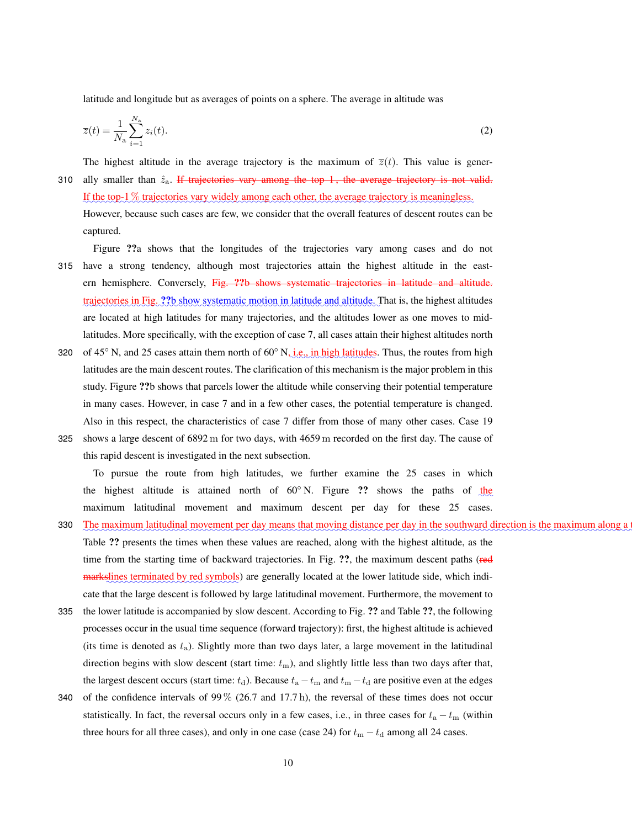latitude and longitude but as averages of points on a sphere. The average in altitude was

$$
\overline{z}(t) = \frac{1}{N_a} \sum_{i=1}^{N_a} z_i(t). \tag{2}
$$

The highest altitude in the average trajectory is the maximum of  $\overline{z}(t)$ . This value is gener-

310 ally smaller than  $\hat{z}_a$ . If trajectories vary among the top 1, the average trajectory is not valid. If the top-1 % trajectories vary widely among each other, the average trajectory is meaningless. However, because such cases are few, we consider that the overall features of descent routes can be

captured.

Figure ??a shows that the longitudes of the trajectories vary among cases and do not 315 have a strong tendency, although most trajectories attain the highest altitude in the eastern hemisphere. Conversely, Fig. ??b shows systematic trajectories in latitude and altitude. trajectories in Fig. ??b show systematic motion in latitude and altitude. That is, the highest altitudes are located at high latitudes for many trajectories, and the altitudes lower as one moves to midlatitudes. More specifically, with the exception of case 7, all cases attain their highest altitudes north

- 320 of 45<sup>°</sup> N, and 25 cases attain them north of  $60°$  N, i.e., in high latitudes. Thus, the routes from high latitudes are the main descent routes. The clarification of this mechanism is the major problem in this study. Figure ??b shows that parcels lower the altitude while conserving their potential temperature in many cases. However, in case 7 and in a few other cases, the potential temperature is changed. Also in this respect, the characteristics of case 7 differ from those of many other cases. Case 19
- 325 shows a large descent of 6892 m for two days, with 4659 m recorded on the first day. The cause of this rapid descent is investigated in the next subsection.

To pursue the route from high latitudes, we further examine the 25 cases in which the highest altitude is attained north of  $60^\circ$  N. Figure ?? shows the paths of the maximum latitudinal movement and maximum descent per day for these 25 cases.

- 330 The maximum latitudinal movement per day means that moving distance per day in the southward direction is the maximum along Table ?? presents the times when these values are reached, along with the highest altitude, as the time from the starting time of backward trajectories. In Fig. ??, the maximum descent paths (red markslines terminated by red symbols) are generally located at the lower latitude side, which indicate that the large descent is followed by large latitudinal movement. Furthermore, the movement to
- 335 the lower latitude is accompanied by slow descent. According to Fig. ?? and Table ??, the following processes occur in the usual time sequence (forward trajectory): first, the highest altitude is achieved (its time is denoted as  $t_a$ ). Slightly more than two days later, a large movement in the latitudinal direction begins with slow descent (start time:  $t<sub>m</sub>$ ), and slightly little less than two days after that, the largest descent occurs (start time:  $t_d$ ). Because  $t_a - t_m$  and  $t_m - t_d$  are positive even at the edges
- 340 of the confidence intervals of  $99\%$  (26.7 and 17.7 h), the reversal of these times does not occur statistically. In fact, the reversal occurs only in a few cases, i.e., in three cases for  $t_a - t_m$  (within three hours for all three cases), and only in one case (case 24) for  $t_m - t_d$  among all 24 cases.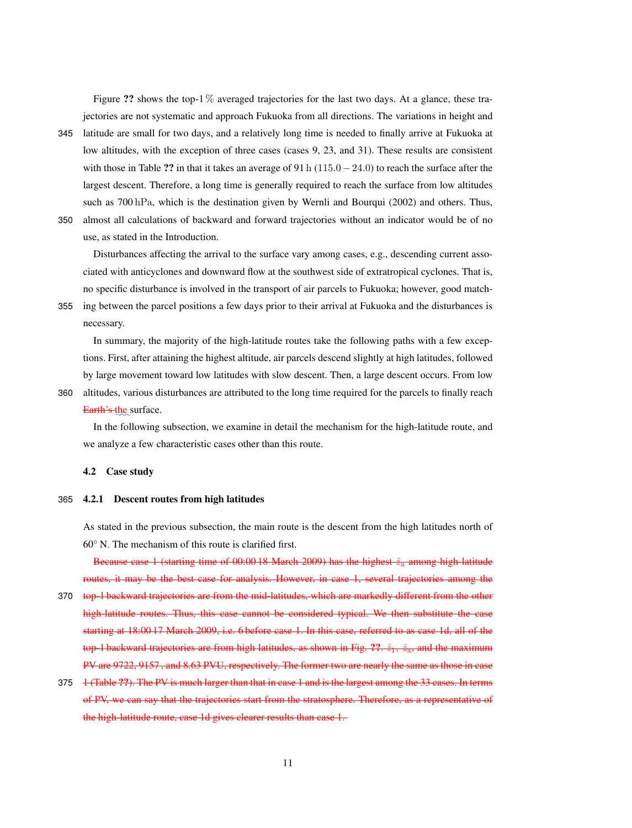Figure ?? shows the top-1  $\%$  averaged trajectories for the last two days. At a glance, these trajectories are not systematic and approach Fukuoka from all directions. The variations in height and

- 345 latitude are small for two days, and a relatively long time is needed to finally arrive at Fukuoka at low altitudes, with the exception of three cases (cases 9, 23, and 31). These results are consistent with those in Table ?? in that it takes an average of 91 h ( $115.0-24.0$ ) to reach the surface after the largest descent. Therefore, a long time is generally required to reach the surface from low altitudes such as 700 hPa, which is the destination given by Wernli and Bourqui (2002) and others. Thus, 350 almost all calculations of backward and forward trajectories without an indicator would be of no
- 

use, as stated in the Introduction.

Disturbances affecting the arrival to the surface vary among cases, e.g., descending current associated with anticyclones and downward flow at the southwest side of extratropical cyclones. That is, no specific disturbance is involved in the transport of air parcels to Fukuoka; however, good match-

355 ing between the parcel positions a few days prior to their arrival at Fukuoka and the disturbances is necessary.

In summary, the majority of the high-latitude routes take the following paths with a few exceptions. First, after attaining the highest altitude, air parcels descend slightly at high latitudes, followed by large movement toward low latitudes with slow descent. Then, a large descent occurs. From low

360 altitudes, various disturbances are attributed to the long time required for the parcels to finally reach <del>Earth's the</del> surface.

In the following subsection, we examine in detail the mechanism for the high-latitude route, and we analyze a few characteristic cases other than this route.

#### 4.2 Case study

### 365 4.2.1 Descent routes from high latitudes

As stated in the previous subsection, the main route is the descent from the high latitudes north of 60◦ N. The mechanism of this route is clarified first.

Because case 1 (starting time of  $00:0018$  March 2009) has the highest  $\hat{z}_a$  among high-latitude routes, it may be the best case for analysis. However, in case 1, several trajectories among the

- 370 top-1 backward trajectories are from the mid-latitudes, which are markedly different from the other high-latitude routes. Thus, this case cannot be considered typical. We then substitute the case starting at 18:00 17 March 2009, i.e. 6 before case 1. In this case, referred to as case 1d, all of the top-1 backward trajectories are from high latitudes, as shown in Fig.  $\mathbf{??} \cdot \hat{z}_1$ ,  $\hat{z}_3$ , and the maximum PV are 9722, 9157 , and 8.63 PVU, respectively. The former two are nearly the same as those in case
- 375 **1** (Table ??). The PV is much larger than that in case 1 and is the largest among the 33 cases. In terms of PV, we can say that the trajectories start from the stratosphere. Therefore, as a representative of the high-latitude route, case 1d gives clearer results than case 1.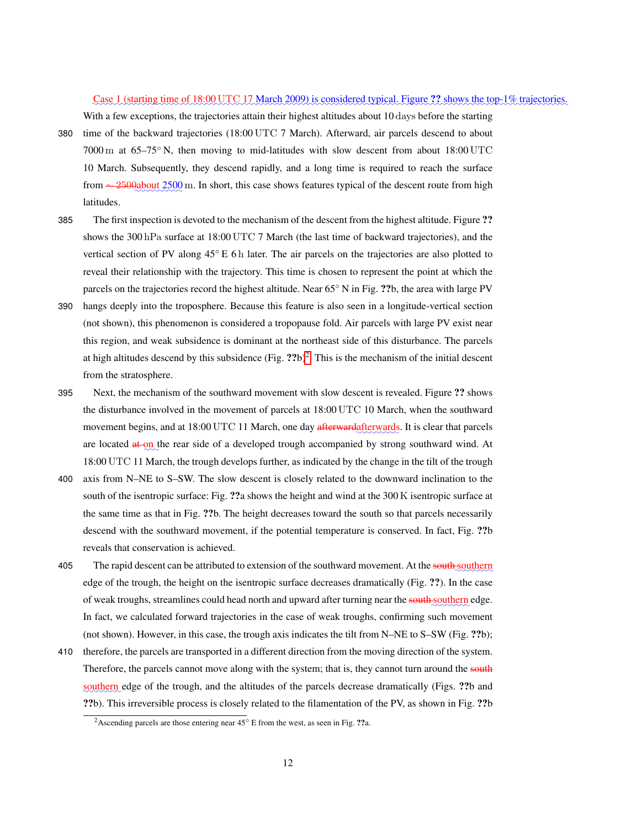### Case 1 (starting time of 18:00 UTC 17 March 2009) is considered typical. Figure ?? shows the top-1% trajectories.

With a few exceptions, the trajectories attain their highest altitudes about 10 days before the starting

- 380 time of the backward trajectories (18:00 UTC 7 March). Afterward, air parcels descend to about 7000 m at 65–75◦ N, then moving to mid-latitudes with slow descent from about 18:00 UTC 10 March. Subsequently, they descend rapidly, and a long time is required to reach the surface from ∼ 2500about 2500 m. In short, this case shows features typical of the descent route from high latitudes.
- 385 The first inspection is devoted to the mechanism of the descent from the highest altitude. Figure ?? shows the 300 hPa surface at 18:00 UTC 7 March (the last time of backward trajectories), and the vertical section of PV along 45◦ E 6 h later. The air parcels on the trajectories are also plotted to reveal their relationship with the trajectory. This time is chosen to represent the point at which the parcels on the trajectories record the highest altitude. Near 65◦ N in Fig. ??b, the area with large PV
- 390 hangs deeply into the troposphere. Because this feature is also seen in a longitude-vertical section (not shown), this phenomenon is considered a tropopause fold. Air parcels with large PV exist near this region, and weak subsidence is dominant at the northeast side of this disturbance. The parcels at high altitudes descend by this subsidence  $(Fig. ??b)^2$ . This is the mechanism of the initial descent from the stratosphere.
- 395 Next, the mechanism of the southward movement with slow descent is revealed. Figure ?? shows the disturbance involved in the movement of parcels at 18:00 UTC 10 March, when the southward movement begins, and at 18:00 UTC 11 March, one day afterwardafterwards. It is clear that parcels are located at on the rear side of a developed trough accompanied by strong southward wind. At 18:00 UTC 11 March, the trough develops further, as indicated by the change in the tilt of the trough
- 400 axis from N–NE to S–SW. The slow descent is closely related to the downward inclination to the south of the isentropic surface: Fig. ??a shows the height and wind at the 300 K isentropic surface at the same time as that in Fig. ??b. The height decreases toward the south so that parcels necessarily descend with the southward movement, if the potential temperature is conserved. In fact, Fig. ??b reveals that conservation is achieved.
- 405 The rapid descent can be attributed to extension of the southward movement. At the southern edge of the trough, the height on the isentropic surface decreases dramatically (Fig. ??). In the case of weak troughs, streamlines could head north and upward after turning near the south southern edge. In fact, we calculated forward trajectories in the case of weak troughs, confirming such movement (not shown). However, in this case, the trough axis indicates the tilt from N–NE to S–SW (Fig. ??b);
- 410 therefore, the parcels are transported in a different direction from the moving direction of the system. Therefore, the parcels cannot move along with the system; that is, they cannot turn around the south southern edge of the trough, and the altitudes of the parcels decrease dramatically (Figs. ??b and ??b). This irreversible process is closely related to the filamentation of the PV, as shown in Fig. ??b

<sup>&</sup>lt;sup>2</sup>Ascending parcels are those entering near  $45^{\circ}$  E from the west, as seen in Fig. ??a.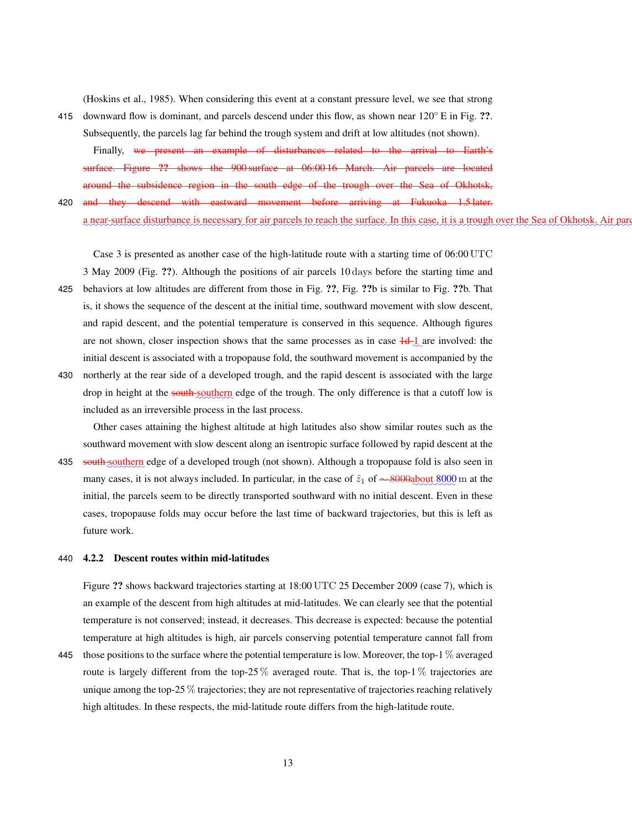(Hoskins et al., 1985). When considering this event at a constant pressure level, we see that strong

415 downward flow is dominant, and parcels descend under this flow, as shown near  $120^\circ$  E in Fig. ??. Subsequently, the parcels lag far behind the trough system and drift at low altitudes (not shown).

Finally, we present an example of disturbances related to the arrival to Earth's surface. Figure ?? shows the 900 surface at 06:00-16 March. Air parcels are located around the subsidence region in the south edge of the trough over the Sea of Okhotsk,

420 and they descend with eastward movement before arriving at Fukuoka 1.5 later. <u>a near-surface disturbance is necessary for air parcels to reach the surface. In this case, it is a trough over the Sea of Okhotsk. Air parties are neglected by the Sea of Okhotsk.</u>

Case 3 is presented as another case of the high-latitude route with a starting time of 06:00 UTC

- 3 May 2009 (Fig. ??). Although the positions of air parcels 10 days before the starting time and 425 behaviors at low altitudes are different from those in Fig. ??, Fig. ??b is similar to Fig. ??b. That is, it shows the sequence of the descent at the initial time, southward movement with slow descent, and rapid descent, and the potential temperature is conserved in this sequence. Although figures are not shown, closer inspection shows that the same processes as in case  $\frac{1}{d}$  are involved: the initial descent is associated with a tropopause fold, the southward movement is accompanied by the
- 430 northerly at the rear side of a developed trough, and the rapid descent is associated with the large drop in height at the south southern edge of the trough. The only difference is that a cutoff low is included as an irreversible process in the last process.

Other cases attaining the highest altitude at high latitudes also show similar routes such as the southward movement with slow descent along an isentropic surface followed by rapid descent at the

435 south southern edge of a developed trough (not shown). Although a tropopause fold is also seen in many cases, it is not always included. In particular, in the case of  $\hat{z}_1$  of  $\sim$  8000 about 8000 m at the initial, the parcels seem to be directly transported southward with no initial descent. Even in these cases, tropopause folds may occur before the last time of backward trajectories, but this is left as future work.

### 440 4.2.2 Descent routes within mid-latitudes

Figure ?? shows backward trajectories starting at 18:00 UTC 25 December 2009 (case 7), which is an example of the descent from high altitudes at mid-latitudes. We can clearly see that the potential temperature is not conserved; instead, it decreases. This decrease is expected: because the potential temperature at high altitudes is high, air parcels conserving potential temperature cannot fall from

445 those positions to the surface where the potential temperature is low. Moreover, the top-1 % averaged route is largely different from the top-25 % averaged route. That is, the top-1 % trajectories are unique among the top-25 % trajectories; they are not representative of trajectories reaching relatively high altitudes. In these respects, the mid-latitude route differs from the high-latitude route.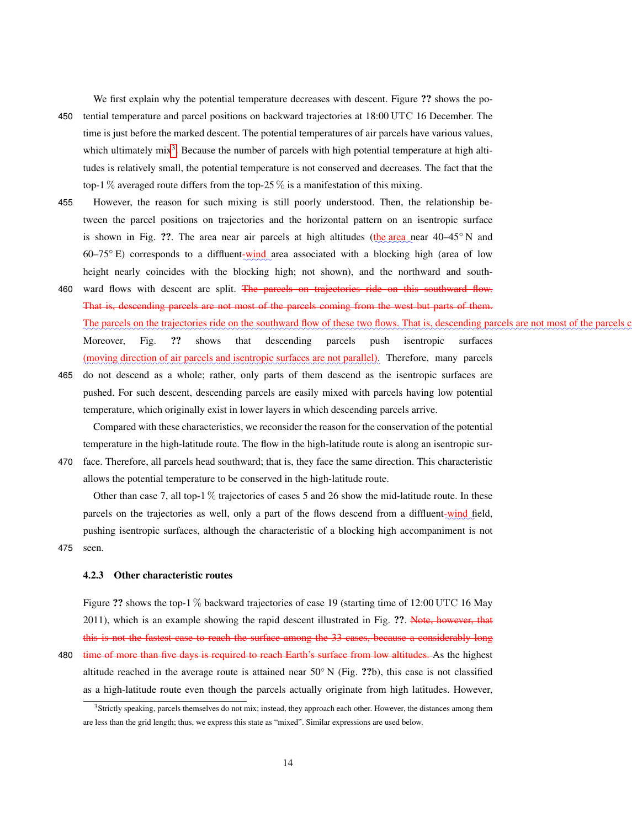We first explain why the potential temperature decreases with descent. Figure ?? shows the po-

- 450 tential temperature and parcel positions on backward trajectories at 18:00 UTC 16 December. The time is just before the marked descent. The potential temperatures of air parcels have various values, which ultimately  $mix^3$ . Because the number of parcels with high potential temperature at high altitudes is relatively small, the potential temperature is not conserved and decreases. The fact that the top-1 % averaged route differs from the top-25 % is a manifestation of this mixing.
- 455 However, the reason for such mixing is still poorly understood. Then, the relationship between the parcel positions on trajectories and the horizontal pattern on an isentropic surface is shown in Fig. ??. The area near air parcels at high altitudes ( $\underline{the}$  area near 40–45° N and 60–75° E) corresponds to a diffluent-wind area associated with a blocking high (area of low height nearly coincides with the blocking high; not shown), and the northward and south-
- 460 ward flows with descent are split. The parcels on trajectories ride on this southward flow. That is, descending parcels are not most of the parcels coming from the west but parts of them. The parcels on the trajectories ride on the southward flow of these two flows. That is, descending parcels are not most of the parcels Moreover, Fig. ?? shows that descending parcels push isentropic surfaces (moving direction of air parcels and isentropic surfaces are not parallel). Therefore, many parcels
- 465 do not descend as a whole; rather, only parts of them descend as the isentropic surfaces are pushed. For such descent, descending parcels are easily mixed with parcels having low potential temperature, which originally exist in lower layers in which descending parcels arrive.

Compared with these characteristics, we reconsider the reason for the conservation of the potential temperature in the high-latitude route. The flow in the high-latitude route is along an isentropic sur-

470 face. Therefore, all parcels head southward; that is, they face the same direction. This characteristic allows the potential temperature to be conserved in the high-latitude route.

Other than case 7, all top-1  $\%$  trajectories of cases 5 and 26 show the mid-latitude route. In these parcels on the trajectories as well, only a part of the flows descend from a diffluent-wind field, pushing isentropic surfaces, although the characteristic of a blocking high accompaniment is not 475 seen.

### 4.2.3 Other characteristic routes

Figure ?? shows the top-1 % backward trajectories of case 19 (starting time of 12:00 UTC 16 May 2011), which is an example showing the rapid descent illustrated in Fig. ??. Note, however, that this is not the fastest case to reach the surface among the 33 cases, because a considerably long 480 time of more than five days is required to reach Earth's surface from low altitudes. As the highest altitude reached in the average route is attained near  $50°$  N (Fig. ??b), this case is not classified as a high-latitude route even though the parcels actually originate from high latitudes. However,

<sup>3</sup>Strictly speaking, parcels themselves do not mix; instead, they approach each other. However, the distances among them are less than the grid length; thus, we express this state as "mixed". Similar expressions are used below.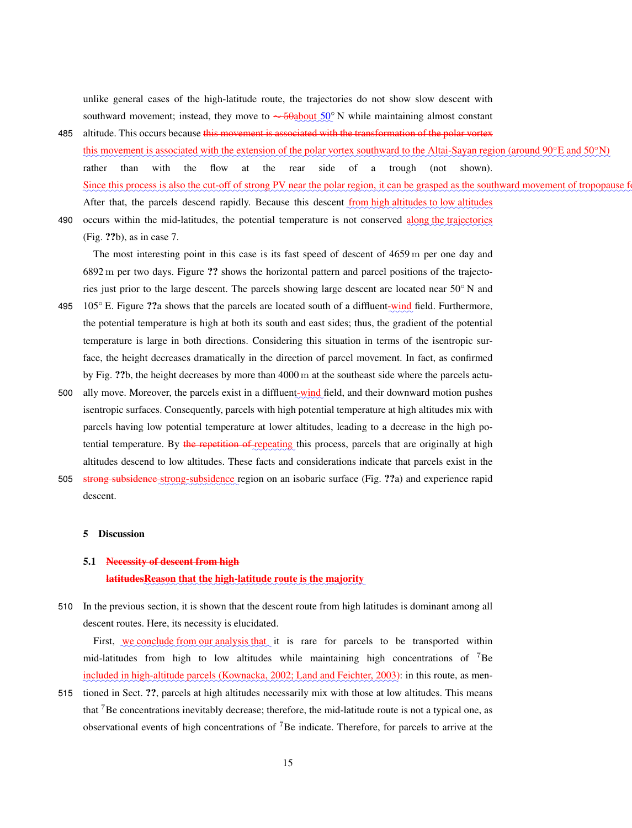unlike general cases of the high-latitude route, the trajectories do not show slow descent with southward movement; instead, they move to  $\sim$  50about 50° N while maintaining almost constant

- 485 altitude. This occurs because this movement is associated with the transformation of the polar vortex this movement is associated with the extension of the polar vortex southward to the Altai-Sayan region (around 90°E and 50°N) rather than with the flow at the rear side of a trough (not shown). Since this process is also the cut-off of strong PV near the polar region, it can be grasped as the southward movement of tropopause After that, the parcels descend rapidly. Because this descent <u>from high altitudes to low altitudes</u>
- 490 occurs within the mid-latitudes, the potential temperature is not conserved along the trajectories (Fig. ??b), as in case 7.

The most interesting point in this case is its fast speed of descent of 4659 m per one day and 6892 m per two days. Figure ?? shows the horizontal pattern and parcel positions of the trajectories just prior to the large descent. The parcels showing large descent are located near 50◦ N and

- 105° E. Figure ??a shows that the parcels are located south of a diffluent-wind field. Furthermore, the potential temperature is high at both its south and east sides; thus, the gradient of the potential temperature is large in both directions. Considering this situation in terms of the isentropic surface, the height decreases dramatically in the direction of parcel movement. In fact, as confirmed by Fig. ??b, the height decreases by more than 4000 m at the southeast side where the parcels actu-
- 500 ally move. Moreover, the parcels exist in a diffluent-wind field, and their downward motion pushes isentropic surfaces. Consequently, parcels with high potential temperature at high altitudes mix with parcels having low potential temperature at lower altitudes, leading to a decrease in the high potential temperature. By the repetition of repeating this process, parcels that are originally at high altitudes descend to low altitudes. These facts and considerations indicate that parcels exist in the
- 505 strong subsidence strong-subsidence region on an isobaric surface (Fig. ??a) and experience rapid descent.

### 5 Discussion

### 5.1 Necessity of descent from high

### latitudesReason that the high-latitude route is the majority

510 In the previous section, it is shown that the descent route from high latitudes is dominant among all descent routes. Here, its necessity is elucidated.

First, we conclude from our analysis that it is rare for parcels to be transported within mid-latitudes from high to low altitudes while maintaining high concentrations of  $\sqrt{7}$ Be included in high-altitude parcels (Kownacka, 2002; Land and Feichter, 2003): in this route, as men-

515 tioned in Sect. ??, parcels at high altitudes necessarily mix with those at low altitudes. This means that <sup>7</sup>Be concentrations inevitably decrease; therefore, the mid-latitude route is not a typical one, as observational events of high concentrations of <sup>7</sup>Be indicate. Therefore, for parcels to arrive at the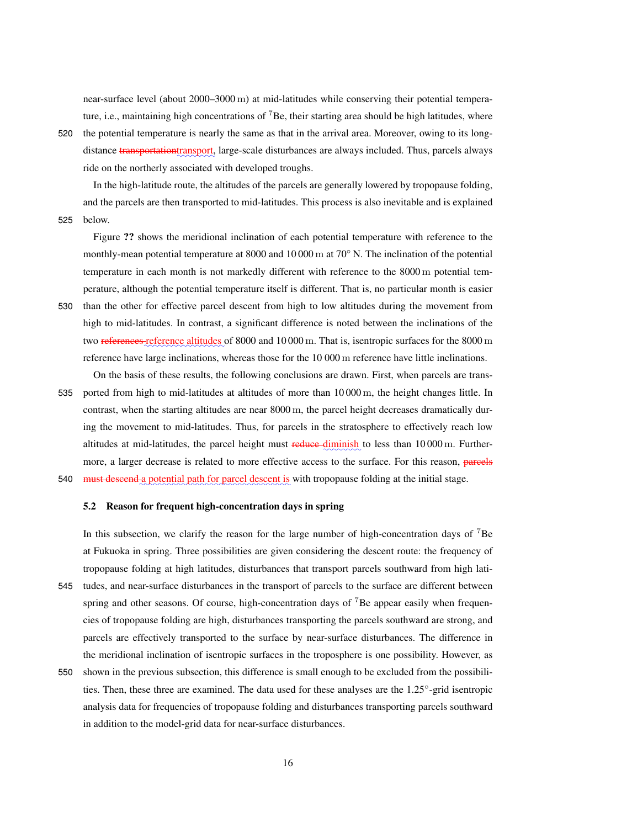near-surface level (about 2000–3000 m) at mid-latitudes while conserving their potential temperature, i.e., maintaining high concentrations of <sup>7</sup>Be, their starting area should be high latitudes, where

520 the potential temperature is nearly the same as that in the arrival area. Moreover, owing to its longdistance <del>transportation</del>transport, large-scale disturbances are always included. Thus, parcels always ride on the northerly associated with developed troughs.

In the high-latitude route, the altitudes of the parcels are generally lowered by tropopause folding, and the parcels are then transported to mid-latitudes. This process is also inevitable and is explained 525 below.

Figure ?? shows the meridional inclination of each potential temperature with reference to the monthly-mean potential temperature at 8000 and 10 000 m at 70◦ N. The inclination of the potential temperature in each month is not markedly different with reference to the 8000 m potential temperature, although the potential temperature itself is different. That is, no particular month is easier

- 530 than the other for effective parcel descent from high to low altitudes during the movement from high to mid-latitudes. In contrast, a significant difference is noted between the inclinations of the two <del>references reference altitudes</del> of 8000 and 10 000 m. That is, isentropic surfaces for the 8000 m reference have large inclinations, whereas those for the 10 000 m reference have little inclinations.
- On the basis of these results, the following conclusions are drawn. First, when parcels are trans-535 ported from high to mid-latitudes at altitudes of more than 10 000 m, the height changes little. In contrast, when the starting altitudes are near 8000 m, the parcel height decreases dramatically during the movement to mid-latitudes. Thus, for parcels in the stratosphere to effectively reach low altitudes at mid-latitudes, the parcel height must reduce diminish to less than 10 000 m. Furthermore, a larger decrease is related to more effective access to the surface. For this reason, parcels

540 must descend a potential path for parcel descent is with tropopause folding at the initial stage.

### 5.2 Reason for frequent high-concentration days in spring

In this subsection, we clarify the reason for the large number of high-concentration days of  $7B$ e at Fukuoka in spring. Three possibilities are given considering the descent route: the frequency of tropopause folding at high latitudes, disturbances that transport parcels southward from high lati-

- 545 tudes, and near-surface disturbances in the transport of parcels to the surface are different between spring and other seasons. Of course, high-concentration days of  $7B$ e appear easily when frequencies of tropopause folding are high, disturbances transporting the parcels southward are strong, and parcels are effectively transported to the surface by near-surface disturbances. The difference in the meridional inclination of isentropic surfaces in the troposphere is one possibility. However, as
- 550 shown in the previous subsection, this difference is small enough to be excluded from the possibilities. Then, these three are examined. The data used for these analyses are the 1.25°-grid isentropic analysis data for frequencies of tropopause folding and disturbances transporting parcels southward in addition to the model-grid data for near-surface disturbances.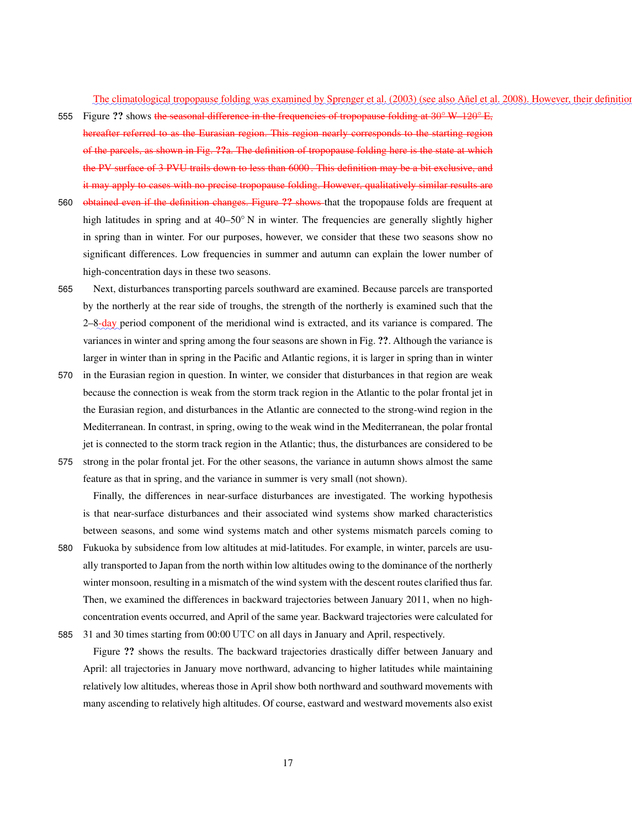maanimaa kanaa kanaa kanaa kanaa kanaa kanaa kanaa kanaa kanaa kanaa kanaa kanaa kanaa kanaa kanaa kanaa kanaa The climatological tropopause folding was examined by Sprenger et al. (2003) (see also Añel et al. 2008). However, their definition

- 555 Figure ?? shows the seasonal difference in the frequencies of tropopause folding at 30<sup>°</sup> W–120<sup>°</sup> E, hereafter referred to as the Eurasian region. This region nearly corresponds to the starting region of the parcels, as shown in Fig. ??a. The definition of tropopause folding here is the state at which the PV surface of 3 PVU trails down to less than 6000 . This definition may be a bit exclusive, and it may apply to cases with no precise tropopause folding. However, qualitatively similar results are
- 560 obtained even if the definition changes. Figure ?? shows that the tropopause folds are frequent at high latitudes in spring and at 40–50<sup>°</sup> N in winter. The frequencies are generally slightly higher in spring than in winter. For our purposes, however, we consider that these two seasons show no significant differences. Low frequencies in summer and autumn can explain the lower number of high-concentration days in these two seasons.
- 565 Next, disturbances transporting parcels southward are examined. Because parcels are transported by the northerly at the rear side of troughs, the strength of the northerly is examined such that the 2–8-day period component of the meridional wind is extracted, and its variance is compared. The variances in winter and spring among the four seasons are shown in Fig. ??. Although the variance is larger in winter than in spring in the Pacific and Atlantic regions, it is larger in spring than in winter
- 570 in the Eurasian region in question. In winter, we consider that disturbances in that region are weak because the connection is weak from the storm track region in the Atlantic to the polar frontal jet in the Eurasian region, and disturbances in the Atlantic are connected to the strong-wind region in the Mediterranean. In contrast, in spring, owing to the weak wind in the Mediterranean, the polar frontal jet is connected to the storm track region in the Atlantic; thus, the disturbances are considered to be
- 575 strong in the polar frontal jet. For the other seasons, the variance in autumn shows almost the same feature as that in spring, and the variance in summer is very small (not shown).

Finally, the differences in near-surface disturbances are investigated. The working hypothesis is that near-surface disturbances and their associated wind systems show marked characteristics between seasons, and some wind systems match and other systems mismatch parcels coming to

- 580 Fukuoka by subsidence from low altitudes at mid-latitudes. For example, in winter, parcels are usually transported to Japan from the north within low altitudes owing to the dominance of the northerly winter monsoon, resulting in a mismatch of the wind system with the descent routes clarified thus far. Then, we examined the differences in backward trajectories between January 2011, when no highconcentration events occurred, and April of the same year. Backward trajectories were calculated for
- 

585 31 and 30 times starting from 00:00 UTC on all days in January and April, respectively.

Figure ?? shows the results. The backward trajectories drastically differ between January and April: all trajectories in January move northward, advancing to higher latitudes while maintaining relatively low altitudes, whereas those in April show both northward and southward movements with many ascending to relatively high altitudes. Of course, eastward and westward movements also exist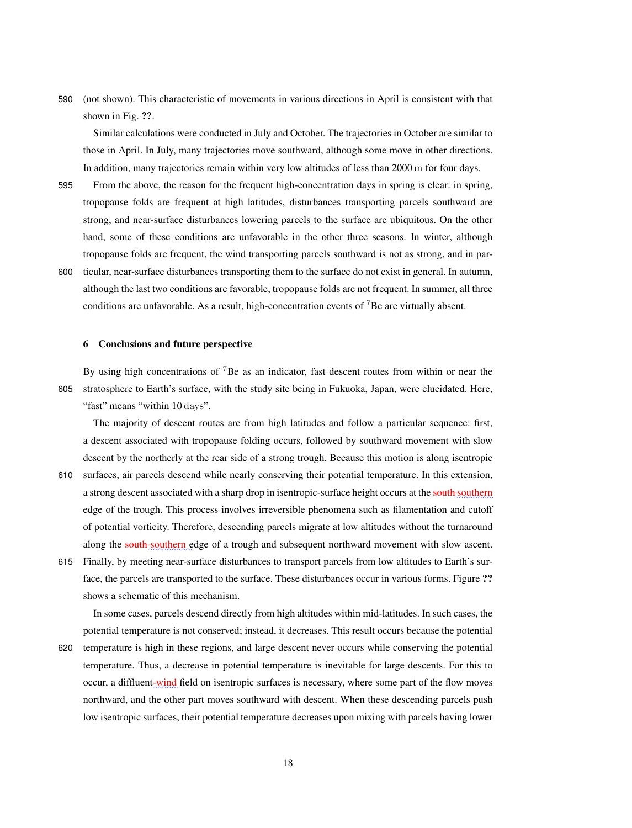590 (not shown). This characteristic of movements in various directions in April is consistent with that shown in Fig. ??.

Similar calculations were conducted in July and October. The trajectories in October are similar to those in April. In July, many trajectories move southward, although some move in other directions. In addition, many trajectories remain within very low altitudes of less than 2000 m for four days.

- 595 From the above, the reason for the frequent high-concentration days in spring is clear: in spring, tropopause folds are frequent at high latitudes, disturbances transporting parcels southward are strong, and near-surface disturbances lowering parcels to the surface are ubiquitous. On the other hand, some of these conditions are unfavorable in the other three seasons. In winter, although tropopause folds are frequent, the wind transporting parcels southward is not as strong, and in par-
- 600 ticular, near-surface disturbances transporting them to the surface do not exist in general. In autumn, although the last two conditions are favorable, tropopause folds are not frequent. In summer, all three conditions are unfavorable. As a result, high-concentration events of  $\bar{7}$ Be are virtually absent.

### 6 Conclusions and future perspective

By using high concentrations of <sup>7</sup>Be as an indicator, fast descent routes from within or near the 605 stratosphere to Earth's surface, with the study site being in Fukuoka, Japan, were elucidated. Here, "fast" means "within 10 days".

The majority of descent routes are from high latitudes and follow a particular sequence: first, a descent associated with tropopause folding occurs, followed by southward movement with slow descent by the northerly at the rear side of a strong trough. Because this motion is along isentropic

- 610 surfaces, air parcels descend while nearly conserving their potential temperature. In this extension, a strong descent associated with a sharp drop in isentropic-surface height occurs at the south southern edge of the trough. This process involves irreversible phenomena such as filamentation and cutoff of potential vorticity. Therefore, descending parcels migrate at low altitudes without the turnaround along the south-southern edge of a trough and subsequent northward movement with slow ascent.
- 615 Finally, by meeting near-surface disturbances to transport parcels from low altitudes to Earth's surface, the parcels are transported to the surface. These disturbances occur in various forms. Figure ?? shows a schematic of this mechanism.

In some cases, parcels descend directly from high altitudes within mid-latitudes. In such cases, the potential temperature is not conserved; instead, it decreases. This result occurs because the potential

620 temperature is high in these regions, and large descent never occurs while conserving the potential temperature. Thus, a decrease in potential temperature is inevitable for large descents. For this to occur, a diffluent-wind field on isentropic surfaces is necessary, where some part of the flow moves northward, and the other part moves southward with descent. When these descending parcels push low isentropic surfaces, their potential temperature decreases upon mixing with parcels having lower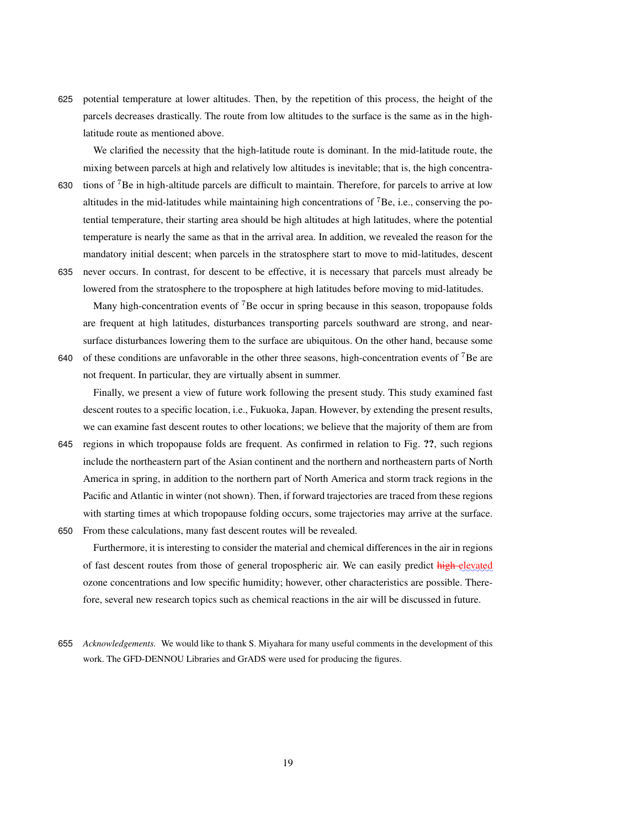625 potential temperature at lower altitudes. Then, by the repetition of this process, the height of the parcels decreases drastically. The route from low altitudes to the surface is the same as in the highlatitude route as mentioned above.

We clarified the necessity that the high-latitude route is dominant. In the mid-latitude route, the mixing between parcels at high and relatively low altitudes is inevitable; that is, the high concentra-

- 630 tions of <sup>7</sup>Be in high-altitude parcels are difficult to maintain. Therefore, for parcels to arrive at low altitudes in the mid-latitudes while maintaining high concentrations of <sup>7</sup>Be, i.e., conserving the potential temperature, their starting area should be high altitudes at high latitudes, where the potential temperature is nearly the same as that in the arrival area. In addition, we revealed the reason for the mandatory initial descent; when parcels in the stratosphere start to move to mid-latitudes, descent
- 635 never occurs. In contrast, for descent to be effective, it is necessary that parcels must already be lowered from the stratosphere to the troposphere at high latitudes before moving to mid-latitudes.

Many high-concentration events of  $\bar{7}$ Be occur in spring because in this season, tropopause folds are frequent at high latitudes, disturbances transporting parcels southward are strong, and nearsurface disturbances lowering them to the surface are ubiquitous. On the other hand, because some 640 of these conditions are unfavorable in the other three seasons, high-concentration events of  ${}^{7}$ Be are

Finally, we present a view of future work following the present study. This study examined fast descent routes to a specific location, i.e., Fukuoka, Japan. However, by extending the present results, we can examine fast descent routes to other locations; we believe that the majority of them are from

- 645 regions in which tropopause folds are frequent. As confirmed in relation to Fig. ??, such regions include the northeastern part of the Asian continent and the northern and northeastern parts of North America in spring, in addition to the northern part of North America and storm track regions in the Pacific and Atlantic in winter (not shown). Then, if forward trajectories are traced from these regions with starting times at which tropopause folding occurs, some trajectories may arrive at the surface.
- 650 From these calculations, many fast descent routes will be revealed.

not frequent. In particular, they are virtually absent in summer.

Furthermore, it is interesting to consider the material and chemical differences in the air in regions of fast descent routes from those of general tropospheric air. We can easily predict high elevated ozone concentrations and low specific humidity; however, other characteristics are possible. Therefore, several new research topics such as chemical reactions in the air will be discussed in future.

655 *Acknowledgements.* We would like to thank S. Miyahara for many useful comments in the development of this work. The GFD-DENNOU Libraries and GrADS were used for producing the figures.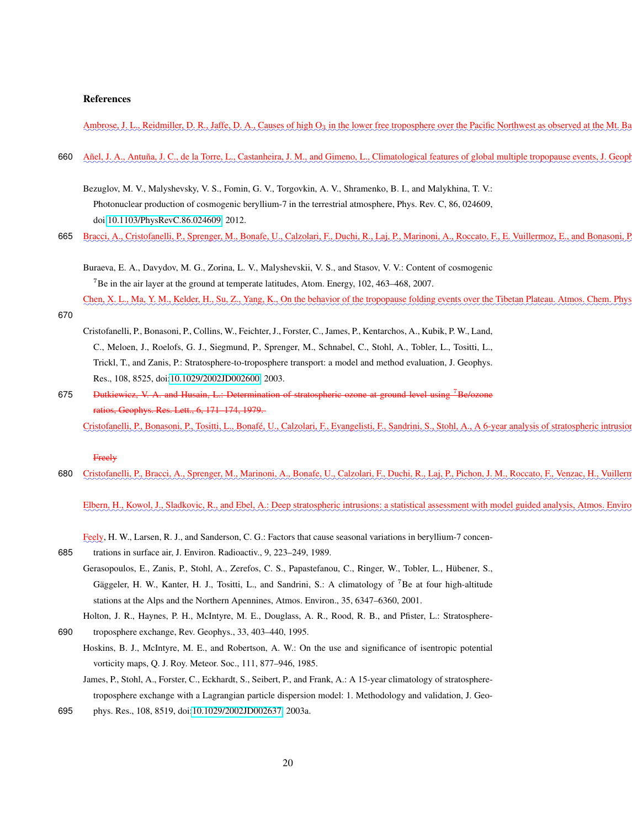### References

Ambrose, J. L., Reidmiller, D. R., Jaffe, D. A., Causes of high O<sub>3</sub> in the lower free troposphere over the Pacific Northwest as observed at the Mt. I

- 660 Añel, J. A., Antuña, J. C., de la Torre, L., Castanheira, J. M., and Gimeno, L., Climatological features of global multiple tropopause events, J. Geo
	- Bezuglov, M. V., Malyshevsky, V. S., Fomin, G. V., Torgovkin, A. V., Shramenko, B. I., and Malykhina, T. V.: Photonuclear production of cosmogenic beryllium-7 in the terrestrial atmosphere, Phys. Rev. C, 86, 024609, doi[:10.1103/PhysRevC.86.024609,](http://dx.doi.org/10.1103/PhysRevC.86.024609) 2012.
- 665 Bracci, A., Cristofanelli, P., Sprenger, M., Bonafe, U., Calzolari, F., Duchi, R., Laj, P., Marinoni, A., Roccato, F., E. Vuillermoz, E., and Bonasoni,

Buraeva, E. A., Davydov, M. G., Zorina, L. V., Malyshevskii, V. S., and Stasov, V. V.: Content of cosmogenic <sup>7</sup>Be in the air layer at the ground at temperate latitudes, Atom. Energy, 102, 463–468, 2007.

Chen, X. L., Ma, Y. M., Kelder, H., Su, Z., Yang, K., On the behavior of the tropopause folding events over the Tibetan Plateau. Atmos. Chem. Ph

Cristofanelli, P., Bonasoni, P., Collins, W., Feichter, J., Forster, C., James, P., Kentarchos, A., Kubik, P. W., Land, C., Meloen, J., Roelofs, G. J., Siegmund, P., Sprenger, M., Schnabel, C., Stohl, A., Tobler, L., Tositti, L., Trickl, T., and Zanis, P.: Stratosphere-to-troposphere transport: a model and method evaluation, J. Geophys. Res., 108, 8525, doi[:10.1029/2002JD002600,](http://dx.doi.org/10.1029/2002JD002600) 2003.

675 • <del>Dutkiewicz, V. A. and Husain, L.: Determination of stratospheric ozone at ground level using <sup>7</sup>Be/ozone</del> ratios, Geophys. Res. Lett., 6, 171–174, 1979. Cristofanelli, P., Bonasoni, P., Tositti, L., Bonafé, U., Calzolari, F., Evangelisti, F., Sandrini, S., Stohl, A., A 6-year analysis of stratospheric intrusi

### Freely

670

680 Cristofanelli, P., Bracci, A., Sprenger, M., Marinoni, A., Bonafe, U., Calzolari, F., Duchi, R., Laj, P., Pichon, J. M., Roccato, F., Venzac, H., Vuille

Elbern, H., Kowol, J., Sladkovic, R., and Ebel, A.: Deep stratospheric intrusions: a statistical assessment with model guided analysis, Atmos. Envi

- Feely, H. W., Larsen, R. J., and Sanderson, C. G.: Factors that cause seasonal variations in beryllium-7 concen-
- 685 trations in surface air, J. Environ. Radioactiv., 9, 223–249, 1989.
	- Gerasopoulos, E., Zanis, P., Stohl, A., Zerefos, C. S., Papastefanou, C., Ringer, W., Tobler, L., Hübener, S., Gäggeler, H. W., Kanter, H. J., Tositti, L., and Sandrini, S.: A climatology of <sup>7</sup>Be at four high-altitude stations at the Alps and the Northern Apennines, Atmos. Environ., 35, 6347–6360, 2001.
- Holton, J. R., Haynes, P. H., McIntyre, M. E., Douglass, A. R., Rood, R. B., and Pfister, L.: Stratosphere-690 troposphere exchange, Rev. Geophys., 33, 403–440, 1995.
	- Hoskins, B. J., McIntyre, M. E., and Robertson, A. W.: On the use and significance of isentropic potential vorticity maps, Q. J. Roy. Meteor. Soc., 111, 877–946, 1985.
	- James, P., Stohl, A., Forster, C., Eckhardt, S., Seibert, P., and Frank, A.: A 15-year climatology of stratospheretroposphere exchange with a Lagrangian particle dispersion model: 1. Methodology and validation, J. Geo-
- 695 phys. Res., 108, 8519, doi[:10.1029/2002JD002637,](http://dx.doi.org/10.1029/2002JD002637) 2003a.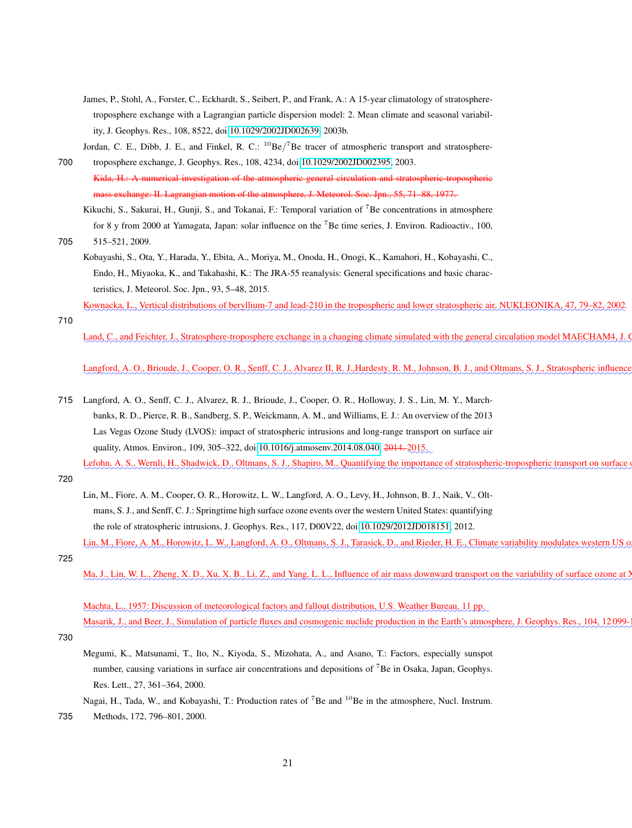- James, P., Stohl, A., Forster, C., Eckhardt, S., Seibert, P., and Frank, A.: A 15-year climatology of stratospheretroposphere exchange with a Lagrangian particle dispersion model: 2. Mean climate and seasonal variability, J. Geophys. Res., 108, 8522, doi[:10.1029/2002JD002639,](http://dx.doi.org/10.1029/2002JD002639) 2003b.
- Jordan, C. E., Dibb, J. E., and Finkel, R. C.:  ${}^{10}Be/{}^{7}Be$  tracer of atmospheric transport and stratosphere-700 troposphere exchange, J. Geophys. Res., 108, 4234, doi[:10.1029/2002JD002395,](http://dx.doi.org/10.1029/2002JD002395) 2003.

Kida, H.: A numerical investigation of the atmospheric general circulation and stratospheric-tropospheric mass exchange: II. Lagrangian motion of the atmosphere, J. Meteorol. Soc. Jpn., 55, 71–88, 1977.

Kikuchi, S., Sakurai, H., Gunji, S., and Tokanai, F.: Temporal variation of <sup>7</sup>Be concentrations in atmosphere for 8 y from 2000 at Yamagata, Japan: solar influence on the <sup>7</sup>Be time series, J. Environ. Radioactiv., 100,

705 515–521, 2009.

Kobayashi, S., Ota, Y., Harada, Y., Ebita, A., Moriya, M., Onoda, H., Onogi, K., Kamahori, H., Kobayashi, C., Endo, H., Miyaoka, K., and Takahashi, K.: The JRA-55 reanalysis: General specifications and basic characteristics, J. Meteorol. Soc. Jpn., 93, 5–48, 2015.

<u>Kownacka, L., Vertical distributions of beryllium-7 and lead-210 in the tropospheric and lower stratospheric air, NUKLEONIKA, 47, 79–82, 2002</u>

710

Land, C., and Feichter, J., Stratosphere-troposphere exchange in a changing climate simulated with the general circulation model MAECHAM4, J

Langford, A. O., Brioude, J., Cooper, O. R., Senff, C. J., Alvarez II, R. J., Hardesty, R. M., Johnson, B. J., and Oltmans, S. J., Stratospheric influen

715 Langford, A. O., Senff, C. J., Alvarez, R. J., Brioude, J., Cooper, O. R., Holloway, J. S., Lin, M. Y., Marchbanks, R. D., Pierce, R. B., Sandberg, S. P., Weickmann, A. M., and Williams, E. J.: An overview of the 2013 Las Vegas Ozone Study (LVOS): impact of stratospheric intrusions and long-range transport on surface air quality, Atmos. Environ., 109, 305–322, doi[:10.1016/j.atmosenv.2014.08.040,](http://dx.doi.org/10.1016/j.atmosenv.2014.08.040) <del>2014.</del> 2015.

Lefohn, A. S., Wernli, H., Shadwick, D., Oltmans, S. J., Shapiro, M., Quantifying the importance of stratospheric-tropospheric transport on surface

720

- Lin, M., Fiore, A. M., Cooper, O. R., Horowitz, L. W., Langford, A. O., Levy, H., Johnson, B. J., Naik, V., Oltmans, S. J., and Senff, C. J.: Springtime high surface ozone events over the western United States: quantifying the role of stratospheric intrusions, J. Geophys. Res., 117, D00V22, doi[:10.1029/2012JD018151,](http://dx.doi.org/10.1029/2012JD018151) 2012.
- Lin, M., Fiore, A. M., Horowitz, L. W., Langford, A. O., Oltmans, S. J., Tarasick, D., and Rieder, H. E., Climate variability modulates western US 725
	- Ma, J., Lin, W. L., Zheng, X. D., Xu, X. B., Li, Z., and Yang, L. L., Influence of air mass downward transport on the variability of surface ozone a

Machta, L., 1957: Discussion of meteorological factors and fallout distribution, U.S. Weather Bureau, 11 pp. Masarik, J., and Beer, J., Simulation of particle fluxes and cosmogenic nuclide production in the Earth's atmosphere, J. Geophys. Res., 104, 1209

730

- Megumi, K., Matsunami, T., Ito, N., Kiyoda, S., Mizohata, A., and Asano, T.: Factors, especially sunspot number, causing variations in surface air concentrations and depositions of <sup>7</sup>Be in Osaka, Japan, Geophys. Res. Lett., 27, 361–364, 2000.
- Nagai, H., Tada, W., and Kobayashi, T.: Production rates of <sup>7</sup>Be and <sup>10</sup>Be in the atmosphere, Nucl. Instrum.
- 735 Methods, 172, 796–801, 2000.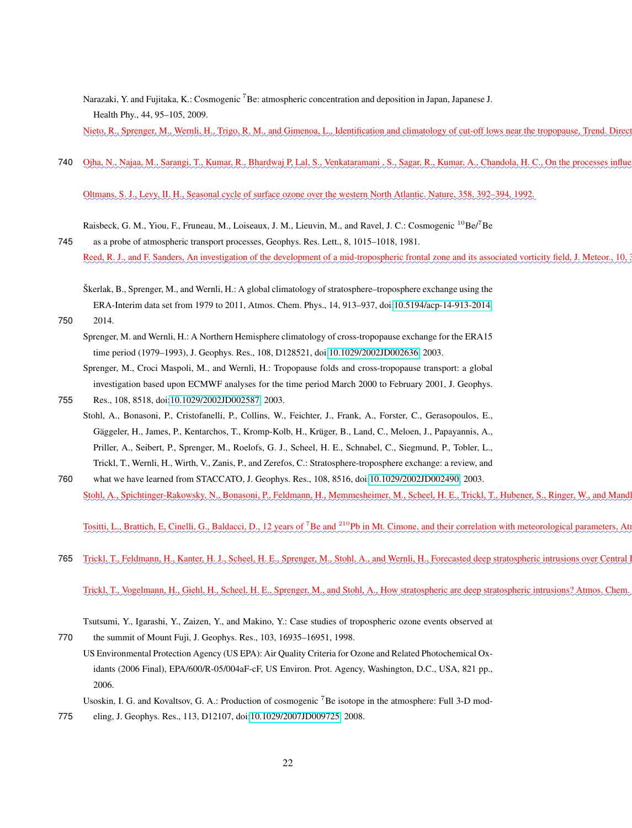Narazaki, Y. and Fujitaka, K.: Cosmogenic <sup>7</sup>Be: atmospheric concentration and deposition in Japan, Japanese J. Health Phy., 44, 95–105, 2009.

Nieto, R., Sprenger, M., Wernli, H., Trigo, R. M., and Gimenoa, L., Identification and climatology of cut-off lows near the tropopause, Trend. Dire

740 Ojha, N., Najaa, M., Sarangi, T., Kumar, R., Bhardwaj P. Lal, S., Venkataramani, S., Sagar, R., Kumar, A., Chandola, H. C., On the processes infl

✿✿✿✿✿✿✿✿✿✿✿✿✿✿✿✿✿✿✿✿✿✿✿✿✿✿✿✿✿✿✿✿✿✿✿✿✿✿✿✿✿✿✿✿✿✿✿✿✿✿✿✿✿✿✿✿✿✿✿✿✿✿✿✿✿✿✿✿✿✿✿✿✿✿✿✿✿✿✿✿✿✿✿✿✿✿✿✿✿✿✿✿✿✿✿✿ Oltmans, S. J., Levy, II. H., Seasonal cycle of surface ozone over the western North Atlantic. Nature, 358, 392–394, 1992.

Raisbeck, G. M., Yiou, F., Fruneau, M., Loiseaux, J. M., Lieuvin, M., and Ravel, J. C.: Cosmogenic <sup>10</sup>Be/<sup>7</sup>Be

- 745 as a probe of atmospheric transport processes, Geophys. Res. Lett., 8, 1015–1018, 1981. Reed, R. J., and F. Sanders, An investigation of the development of a mid-tropospheric frontal zone and its associated vorticity field, J. Meteor., 10
	- Škerlak, B., Sprenger, M., and Wernli, H.: A global climatology of stratosphere–troposphere exchange using the ERA-Interim data set from 1979 to 2011, Atmos. Chem. Phys., 14, 913–937, doi[:10.5194/acp-14-913-2014,](http://dx.doi.org/10.5194/acp-14-913-2014)
- 750 2014.

Sprenger, M. and Wernli, H.: A Northern Hemisphere climatology of cross-tropopause exchange for the ERA15 time period (1979–1993), J. Geophys. Res., 108, D128521, doi[:10.1029/2002JD002636,](http://dx.doi.org/10.1029/2002JD002636) 2003.

Sprenger, M., Croci Maspoli, M., and Wernli, H.: Tropopause folds and cross-tropopause transport: a global investigation based upon ECMWF analyses for the time period March 2000 to February 2001, J. Geophys.

755 Res., 108, 8518, doi[:10.1029/2002JD002587,](http://dx.doi.org/10.1029/2002JD002587) 2003.

- Stohl, A., Bonasoni, P., Cristofanelli, P., Collins, W., Feichter, J., Frank, A., Forster, C., Gerasopoulos, E., Gäggeler, H., James, P., Kentarchos, T., Kromp-Kolb, H., Krüger, B., Land, C., Meloen, J., Papayannis, A., Priller, A., Seibert, P., Sprenger, M., Roelofs, G. J., Scheel, H. E., Schnabel, C., Siegmund, P., Tobler, L., Trickl, T., Wernli, H., Wirth, V., Zanis, P., and Zerefos, C.: Stratosphere-troposphere exchange: a review, and
- 760 what we have learned from STACCATO, J. Geophys. Res., 108, 8516, doi[:10.1029/2002JD002490,](http://dx.doi.org/10.1029/2002JD002490) 2003. Stohl, A., Spichtinger-Rakowsky, N., Bonasoni, P., Feldmann, H., Memmesheimer, M., Scheel, H. E., Trickl, T., Hubener, S., Ringer, W., and Mar

Tositti, L., Brattich, E, Cinelli, G., Baldacci, D., 12 years of <sup>7</sup>Be and <sup>210</sup>Pb in Mt. Cimone, and their correlation with meteorological parameters, A

765 Trickl, T., Feldmann, H., Kanter, H. J., Scheel, H. E., Sprenger, M., Stohl, A., and Wernli, H., Forecasted deep stratospheric intrusions over Centra

Trickl, T., Vogelmann, H., Giehl, H., Scheel, H. E., Sprenger, M., and Stohl, A., How stratospheric are deep stratospheric intrusions? Atmos. Cher

Tsutsumi, Y., Igarashi, Y., Zaizen, Y., and Makino, Y.: Case studies of tropospheric ozone events observed at

770 the summit of Mount Fuji, J. Geophys. Res., 103, 16935–16951, 1998.

US Environmental Protection Agency (US EPA): Air Quality Criteria for Ozone and Related Photochemical Oxidants (2006 Final), EPA/600/R-05/004aF-cF, US Environ. Prot. Agency, Washington, D.C., USA, 821 pp., 2006.

Usoskin, I. G. and Kovaltsov, G. A.: Production of cosmogenic <sup>7</sup>Be isotope in the atmosphere: Full 3-D mod-

775 eling, J. Geophys. Res., 113, D12107, doi[:10.1029/2007JD009725,](http://dx.doi.org/10.1029/2007JD009725) 2008.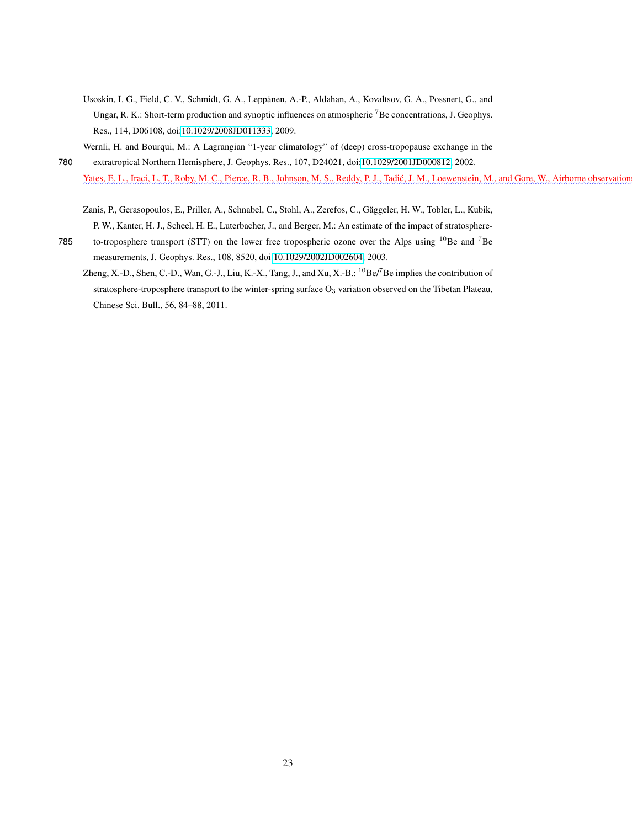- Usoskin, I. G., Field, C. V., Schmidt, G. A., Leppänen, A.-P., Aldahan, A., Kovaltsov, G. A., Possnert, G., and Ungar, R. K.: Short-term production and synoptic influences on atmospheric <sup>7</sup>Be concentrations, J. Geophys. Res., 114, D06108, doi[:10.1029/2008JD011333,](http://dx.doi.org/10.1029/2008JD011333) 2009.
- Wernli, H. and Bourqui, M.: A Lagrangian "1-year climatology" of (deep) cross-tropopause exchange in the 780 extratropical Northern Hemisphere, J. Geophys. Res., 107, D24021, doi[:10.1029/2001JD000812,](http://dx.doi.org/10.1029/2001JD000812) 2002. Yates, E. L., Iraci, L. T., Roby, M. C., Pierce, R. B., Johnson, M. S., Reddy, P. J., Tadić, J. M., Loewenstein, M., and Gore, W., Airborne observation
	- Zanis, P., Gerasopoulos, E., Priller, A., Schnabel, C., Stohl, A., Zerefos, C., Gäggeler, H. W., Tobler, L., Kubik,
- P. W., Kanter, H. J., Scheel, H. E., Luterbacher, J., and Berger, M.: An estimate of the impact of stratosphere-785 to-troposphere transport (STT) on the lower free tropospheric ozone over the Alps using  $^{10}$ Be and <sup>7</sup>Be measurements, J. Geophys. Res., 108, 8520, doi[:10.1029/2002JD002604,](http://dx.doi.org/10.1029/2002JD002604) 2003.
	- Zheng, X.-D., Shen, C.-D., Wan, G.-J., Liu, K.-X., Tang, J., and Xu, X.-B.: <sup>10</sup>Be/<sup>7</sup>Be implies the contribution of stratosphere-troposphere transport to the winter-spring surface O<sub>3</sub> variation observed on the Tibetan Plateau, Chinese Sci. Bull., 56, 84–88, 2011.